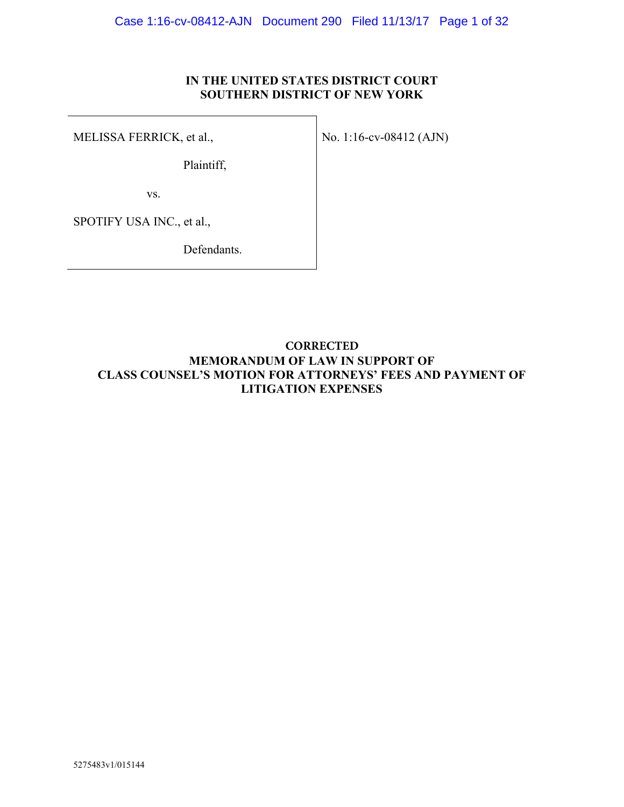## **IN THE UNITED STATES DISTRICT COURT SOUTHERN DISTRICT OF NEW YORK**

MELISSA FERRICK, et al.,

Plaintiff,

No. 1:16-cv-08412 (AJN)

vs.

SPOTIFY USA INC., et al.,

Defendants.

## **MEMORANDUM OF LAW IN SUPPORT OF CLASS COUNSEL'S MOTION FOR ATTORNEYS' FEES AND PAYMENT OF LITIGATION EXPENSES CORRECTED**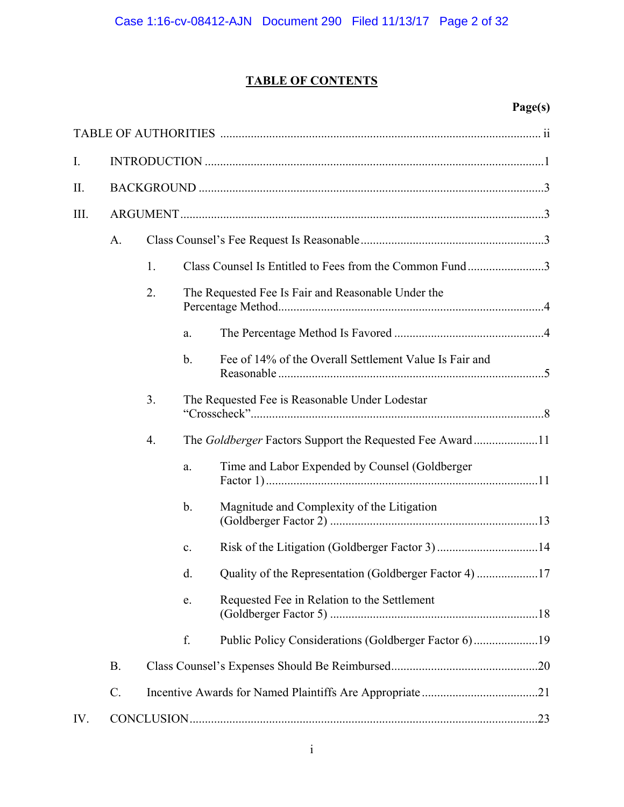# **TABLE OF CONTENTS**

# **Page(s)**

| I.   |                 |    |               |                                                          |  |  |  |
|------|-----------------|----|---------------|----------------------------------------------------------|--|--|--|
| II.  |                 |    |               |                                                          |  |  |  |
| III. |                 |    |               |                                                          |  |  |  |
|      | A.              |    |               |                                                          |  |  |  |
|      |                 | 1. |               | Class Counsel Is Entitled to Fees from the Common Fund3  |  |  |  |
|      |                 | 2. |               | The Requested Fee Is Fair and Reasonable Under the       |  |  |  |
|      |                 |    | a.            |                                                          |  |  |  |
|      |                 |    | $\mathbf b$ . | Fee of 14% of the Overall Settlement Value Is Fair and   |  |  |  |
|      |                 | 3. |               | The Requested Fee is Reasonable Under Lodestar           |  |  |  |
|      |                 | 4. |               | The Goldberger Factors Support the Requested Fee Award11 |  |  |  |
|      |                 |    | a.            | Time and Labor Expended by Counsel (Goldberger           |  |  |  |
|      |                 |    | $b$ .         | Magnitude and Complexity of the Litigation               |  |  |  |
|      |                 |    | c.            |                                                          |  |  |  |
|      |                 |    | d.            | Quality of the Representation (Goldberger Factor 4) 17   |  |  |  |
|      |                 |    | e.            | Requested Fee in Relation to the Settlement              |  |  |  |
|      |                 |    | f.            | Public Policy Considerations (Goldberger Factor 6)19     |  |  |  |
|      | <b>B.</b>       |    |               |                                                          |  |  |  |
|      | $\mathcal{C}$ . |    |               |                                                          |  |  |  |
| IV.  |                 |    |               |                                                          |  |  |  |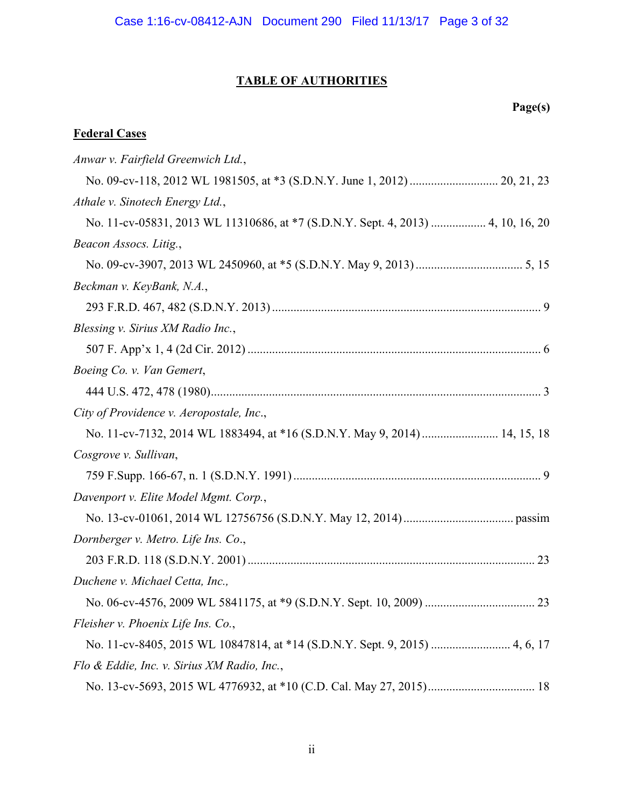# **TABLE OF AUTHORITIES**

# **Page(s)**

# **Federal Cases**

| Anwar v. Fairfield Greenwich Ltd.,                                               |  |
|----------------------------------------------------------------------------------|--|
|                                                                                  |  |
| Athale v. Sinotech Energy Ltd.,                                                  |  |
| No. 11-cv-05831, 2013 WL 11310686, at *7 (S.D.N.Y. Sept. 4, 2013)  4, 10, 16, 20 |  |
| Beacon Assocs. Litig.,                                                           |  |
|                                                                                  |  |
| Beckman v. KeyBank, N.A.,                                                        |  |
|                                                                                  |  |
| Blessing v. Sirius XM Radio Inc.,                                                |  |
|                                                                                  |  |
| Boeing Co. v. Van Gemert,                                                        |  |
|                                                                                  |  |
| City of Providence v. Aeropostale, Inc.,                                         |  |
| No. 11-cv-7132, 2014 WL 1883494, at *16 (S.D.N.Y. May 9, 2014)  14, 15, 18       |  |
| Cosgrove v. Sullivan,                                                            |  |
|                                                                                  |  |
| Davenport v. Elite Model Mgmt. Corp.,                                            |  |
|                                                                                  |  |
| Dornberger v. Metro. Life Ins. Co.,                                              |  |
|                                                                                  |  |
| Duchene v. Michael Cetta, Inc.,                                                  |  |
|                                                                                  |  |
| Fleisher v. Phoenix Life Ins. Co.,                                               |  |
| No. 11-cv-8405, 2015 WL 10847814, at *14 (S.D.N.Y. Sept. 9, 2015)  4, 6, 17      |  |
| Flo & Eddie, Inc. v. Sirius XM Radio, Inc.,                                      |  |
|                                                                                  |  |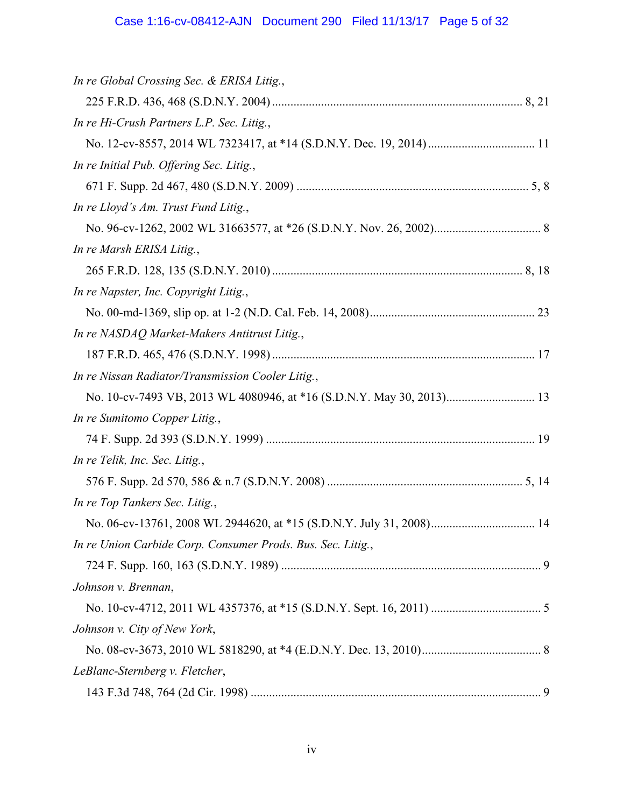# Case 1:16-cv-08412-AJN Document 290 Filed 11/13/17 Page 5 of 32

| In re Global Crossing Sec. & ERISA Litig.,                            |  |
|-----------------------------------------------------------------------|--|
|                                                                       |  |
| In re Hi-Crush Partners L.P. Sec. Litig.,                             |  |
|                                                                       |  |
| In re Initial Pub. Offering Sec. Litig.,                              |  |
|                                                                       |  |
| In re Lloyd's Am. Trust Fund Litig.,                                  |  |
|                                                                       |  |
| In re Marsh ERISA Litig.,                                             |  |
|                                                                       |  |
| In re Napster, Inc. Copyright Litig.,                                 |  |
|                                                                       |  |
| In re NASDAQ Market-Makers Antitrust Litig.,                          |  |
|                                                                       |  |
| In re Nissan Radiator/Transmission Cooler Litig.,                     |  |
| No. 10-cv-7493 VB, 2013 WL 4080946, at *16 (S.D.N.Y. May 30, 2013) 13 |  |
| In re Sumitomo Copper Litig.,                                         |  |
|                                                                       |  |
| In re Telik, Inc. Sec. Litig.,                                        |  |
|                                                                       |  |
| In re Top Tankers Sec. Litig.,                                        |  |
| No. 06-cv-13761, 2008 WL 2944620, at *15 (S.D.N.Y. July 31, 2008) 14  |  |
| In re Union Carbide Corp. Consumer Prods. Bus. Sec. Litig.,           |  |
|                                                                       |  |
| Johnson v. Brennan,                                                   |  |
|                                                                       |  |
| Johnson v. City of New York,                                          |  |
|                                                                       |  |
| LeBlanc-Sternberg v. Fletcher,                                        |  |
|                                                                       |  |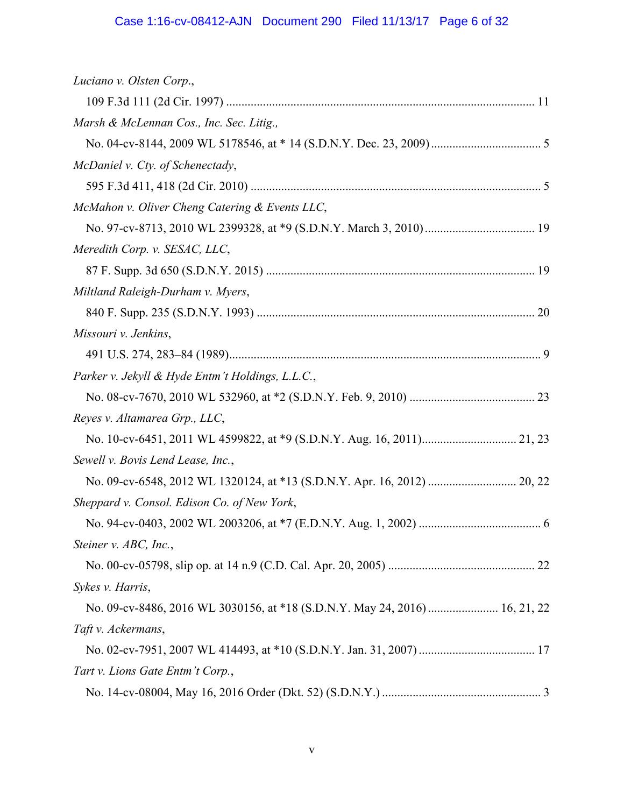# Case 1:16-cv-08412-AJN Document 290 Filed 11/13/17 Page 6 of 32

| Luciano v. Olsten Corp.,                                                   |  |
|----------------------------------------------------------------------------|--|
|                                                                            |  |
| Marsh & McLennan Cos., Inc. Sec. Litig.,                                   |  |
|                                                                            |  |
| McDaniel v. Cty. of Schenectady,                                           |  |
|                                                                            |  |
| McMahon v. Oliver Cheng Catering & Events LLC,                             |  |
|                                                                            |  |
| Meredith Corp. v. SESAC, LLC,                                              |  |
|                                                                            |  |
| Miltland Raleigh-Durham v. Myers,                                          |  |
|                                                                            |  |
| Missouri v. Jenkins,                                                       |  |
|                                                                            |  |
| Parker v. Jekyll & Hyde Entm't Holdings, L.L.C.,                           |  |
|                                                                            |  |
| Reyes v. Altamarea Grp., LLC,                                              |  |
|                                                                            |  |
| Sewell v. Bovis Lend Lease, Inc.,                                          |  |
|                                                                            |  |
| Sheppard v. Consol. Edison Co. of New York,                                |  |
|                                                                            |  |
| Steiner v. ABC, Inc.,                                                      |  |
|                                                                            |  |
| Sykes v. Harris,                                                           |  |
| No. 09-cv-8486, 2016 WL 3030156, at *18 (S.D.N.Y. May 24, 2016) 16, 21, 22 |  |
| Taft v. Ackermans,                                                         |  |
|                                                                            |  |
| Tart v. Lions Gate Entm't Corp.,                                           |  |
|                                                                            |  |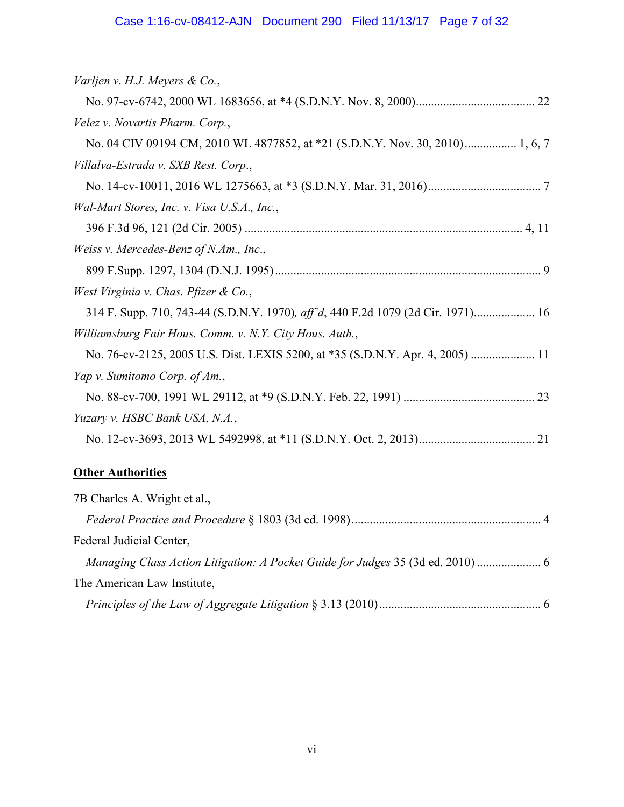| Varljen v. H.J. Meyers & Co.,                                                    |
|----------------------------------------------------------------------------------|
|                                                                                  |
| Velez v. Novartis Pharm. Corp.,                                                  |
| No. 04 CIV 09194 CM, 2010 WL 4877852, at *21 (S.D.N.Y. Nov. 30, 2010) 1, 6, 7    |
| Villalva-Estrada v. SXB Rest. Corp.,                                             |
|                                                                                  |
| Wal-Mart Stores, Inc. v. Visa U.S.A., Inc.,                                      |
|                                                                                  |
| Weiss v. Mercedes-Benz of N.Am., Inc.,                                           |
|                                                                                  |
| West Virginia v. Chas. Pfizer & Co.,                                             |
| 314 F. Supp. 710, 743-44 (S.D.N.Y. 1970), aff'd, 440 F.2d 1079 (2d Cir. 1971) 16 |
| Williamsburg Fair Hous. Comm. v. N.Y. City Hous. Auth.,                          |
| No. 76-cv-2125, 2005 U.S. Dist. LEXIS 5200, at *35 (S.D.N.Y. Apr. 4, 2005)  11   |
| Yap v. Sumitomo Corp. of Am.,                                                    |
|                                                                                  |
| Yuzary v. HSBC Bank USA, N.A.,                                                   |
|                                                                                  |
| <b>Other Authorities</b>                                                         |
| 7B Charles A. Wright et al.,                                                     |
|                                                                                  |

Federal Judicial Center,

*Managing Class Action Litigation: A Pocket Guide for Judges* 35 (3d ed. 2010) ..................... 6 The American Law Institute,

*Principles of the Law of Aggregate Litigation* § 3.13 (2010) ..................................................... 6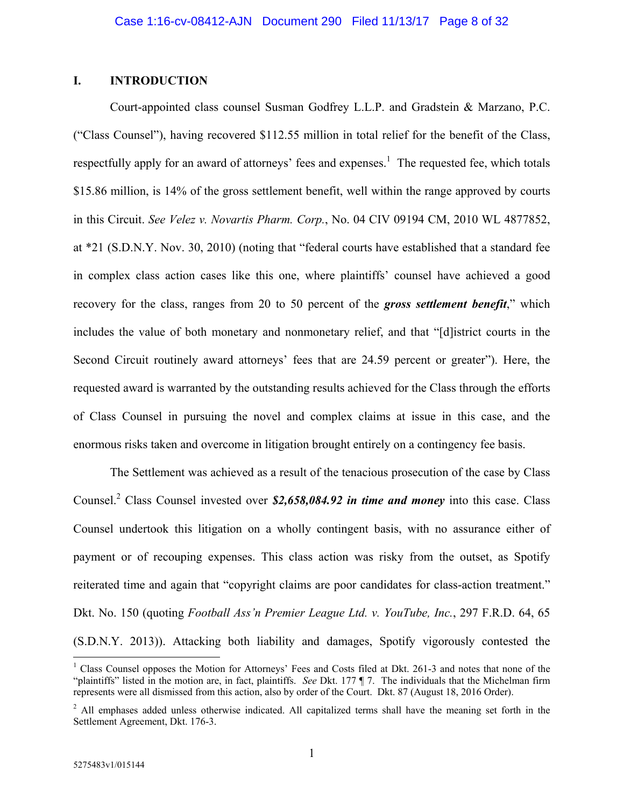## **I. INTRODUCTION**

Court-appointed class counsel Susman Godfrey L.L.P. and Gradstein & Marzano, P.C. ("Class Counsel"), having recovered \$112.55 million in total relief for the benefit of the Class, respectfully apply for an award of attorneys' fees and expenses.<sup>1</sup> The requested fee, which totals \$15.86 million, is 14% of the gross settlement benefit, well within the range approved by courts in this Circuit. *See Velez v. Novartis Pharm. Corp.*, No. 04 CIV 09194 CM, 2010 WL 4877852, at \*21 (S.D.N.Y. Nov. 30, 2010) (noting that "federal courts have established that a standard fee in complex class action cases like this one, where plaintiffs' counsel have achieved a good recovery for the class, ranges from 20 to 50 percent of the *gross settlement benefit*," which includes the value of both monetary and nonmonetary relief, and that "[d]istrict courts in the Second Circuit routinely award attorneys' fees that are 24.59 percent or greater"). Here, the requested award is warranted by the outstanding results achieved for the Class through the efforts of Class Counsel in pursuing the novel and complex claims at issue in this case, and the enormous risks taken and overcome in litigation brought entirely on a contingency fee basis.

The Settlement was achieved as a result of the tenacious prosecution of the case by Class Counsel.<sup>2</sup> Class Counsel invested over \$2,658,084.92 in time and money into this case. Class Counsel undertook this litigation on a wholly contingent basis, with no assurance either of payment or of recouping expenses. This class action was risky from the outset, as Spotify reiterated time and again that "copyright claims are poor candidates for class-action treatment." Dkt. No. 150 (quoting *Football Ass'n Premier League Ltd. v. YouTube, Inc.*, 297 F.R.D. 64, 65 (S.D.N.Y. 2013)). Attacking both liability and damages, Spotify vigorously contested the

<sup>&</sup>lt;sup>1</sup> Class Counsel opposes the Motion for Attorneys' Fees and Costs filed at Dkt. 261-3 and notes that none of the "plaintiffs" listed in the motion are, in fact, plaintiffs. *See* Dkt. 177 ¶ 7. The individuals that the Michelman firm represents were all dismissed from this action, also by order of the Court. Dkt. 87 (August 18, 2016 Order).

<sup>&</sup>lt;sup>2</sup> All emphases added unless otherwise indicated. All capitalized terms shall have the meaning set forth in the Settlement Agreement, Dkt. 176-3.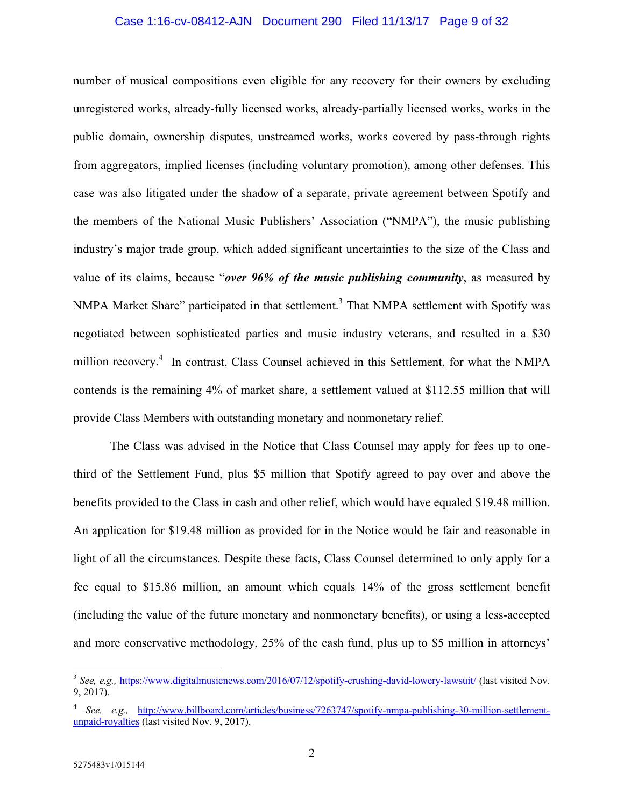#### Case 1:16-cv-08412-AJN Document 290 Filed 11/13/17 Page 9 of 32

number of musical compositions even eligible for any recovery for their owners by excluding unregistered works, already-fully licensed works, already-partially licensed works, works in the public domain, ownership disputes, unstreamed works, works covered by pass-through rights from aggregators, implied licenses (including voluntary promotion), among other defenses. This case was also litigated under the shadow of a separate, private agreement between Spotify and the members of the National Music Publishers' Association ("NMPA"), the music publishing industry's major trade group, which added significant uncertainties to the size of the Class and value of its claims, because "*over 96% of the music publishing community*, as measured by NMPA Market Share" participated in that settlement.<sup>3</sup> That NMPA settlement with Spotify was negotiated between sophisticated parties and music industry veterans, and resulted in a \$30 million recovery.<sup>4</sup> In contrast, Class Counsel achieved in this Settlement, for what the NMPA contends is the remaining 4% of market share, a settlement valued at \$112.55 million that will provide Class Members with outstanding monetary and nonmonetary relief.

The Class was advised in the Notice that Class Counsel may apply for fees up to onethird of the Settlement Fund, plus \$5 million that Spotify agreed to pay over and above the benefits provided to the Class in cash and other relief, which would have equaled \$19.48 million. An application for \$19.48 million as provided for in the Notice would be fair and reasonable in light of all the circumstances. Despite these facts, Class Counsel determined to only apply for a fee equal to \$15.86 million, an amount which equals 14% of the gross settlement benefit (including the value of the future monetary and nonmonetary benefits), or using a less-accepted and more conservative methodology, 25% of the cash fund, plus up to \$5 million in attorneys'

<sup>&</sup>lt;sup>3</sup> See, e.g., https://www.digitalmusicnews.com/2016/07/12/spotify-crushing-david-lowery-lawsuit/ (last visited Nov. 9, 2017).

<sup>4</sup> *See, e.g.,* http://www.billboard.com/articles/business/7263747/spotify-nmpa-publishing-30-million-settlementunpaid-royalties (last visited Nov. 9, 2017).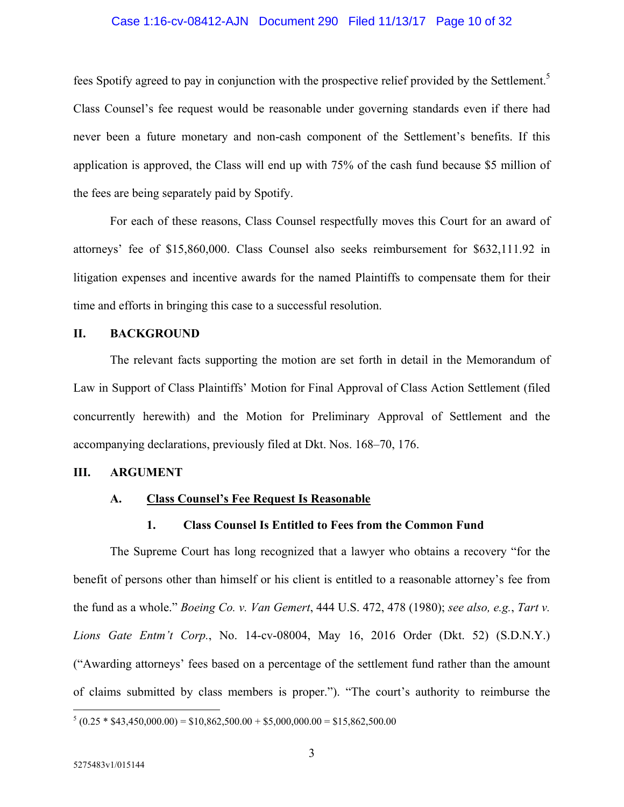#### Case 1:16-cv-08412-AJN Document 290 Filed 11/13/17 Page 10 of 32

fees Spotify agreed to pay in conjunction with the prospective relief provided by the Settlement.<sup>5</sup> Class Counsel's fee request would be reasonable under governing standards even if there had never been a future monetary and non-cash component of the Settlement's benefits. If this application is approved, the Class will end up with 75% of the cash fund because \$5 million of the fees are being separately paid by Spotify.

For each of these reasons, Class Counsel respectfully moves this Court for an award of attorneys' fee of \$15,860,000. Class Counsel also seeks reimbursement for \$632,111.92 in litigation expenses and incentive awards for the named Plaintiffs to compensate them for their time and efforts in bringing this case to a successful resolution.

## **II. BACKGROUND**

The relevant facts supporting the motion are set forth in detail in the Memorandum of Law in Support of Class Plaintiffs' Motion for Final Approval of Class Action Settlement (filed concurrently herewith) and the Motion for Preliminary Approval of Settlement and the accompanying declarations, previously filed at Dkt. Nos. 168–70, 176.

## **III. ARGUMENT**

## **A. Class Counsel's Fee Request Is Reasonable**

#### **1. Class Counsel Is Entitled to Fees from the Common Fund**

The Supreme Court has long recognized that a lawyer who obtains a recovery "for the benefit of persons other than himself or his client is entitled to a reasonable attorney's fee from the fund as a whole." *Boeing Co. v. Van Gemert*, 444 U.S. 472, 478 (1980); *see also, e.g.*, *Tart v. Lions Gate Entm't Corp.*, No. 14-cv-08004, May 16, 2016 Order (Dkt. 52) (S.D.N.Y.) ("Awarding attorneys' fees based on a percentage of the settlement fund rather than the amount of claims submitted by class members is proper."). "The court's authority to reimburse the

 $\frac{5}{6}(0.25 * $43,450,000.00) = $10,862,500.00 + $5,000,000.00 = $15,862,500.00$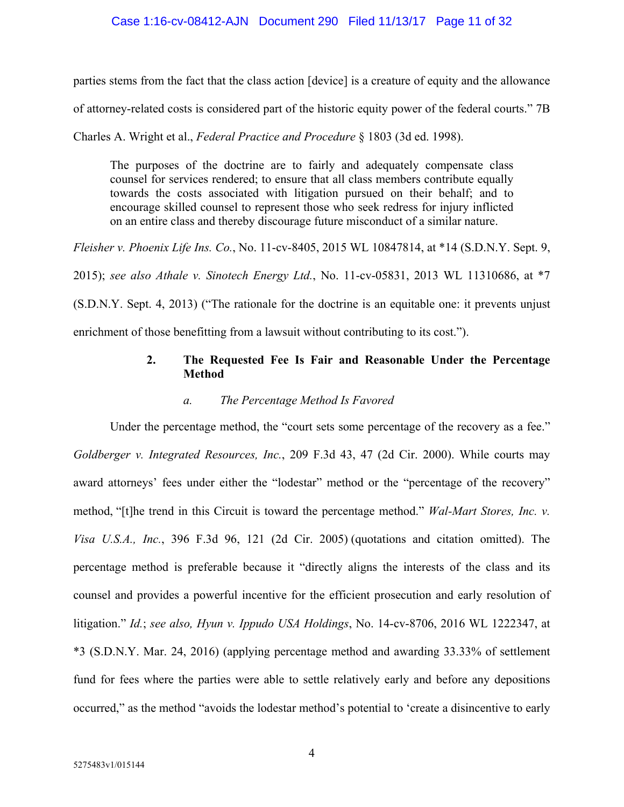## Case 1:16-cv-08412-AJN Document 290 Filed 11/13/17 Page 11 of 32

parties stems from the fact that the class action [device] is a creature of equity and the allowance

of attorney-related costs is considered part of the historic equity power of the federal courts." 7B

Charles A. Wright et al., *Federal Practice and Procedure* § 1803 (3d ed. 1998).

The purposes of the doctrine are to fairly and adequately compensate class counsel for services rendered; to ensure that all class members contribute equally towards the costs associated with litigation pursued on their behalf; and to encourage skilled counsel to represent those who seek redress for injury inflicted on an entire class and thereby discourage future misconduct of a similar nature.

*Fleisher v. Phoenix Life Ins. Co.*, No. 11-cv-8405, 2015 WL 10847814, at \*14 (S.D.N.Y. Sept. 9,

2015); *see also Athale v. Sinotech Energy Ltd.*, No. 11-cv-05831, 2013 WL 11310686, at \*7

(S.D.N.Y. Sept. 4, 2013) ("The rationale for the doctrine is an equitable one: it prevents unjust enrichment of those benefitting from a lawsuit without contributing to its cost.").

## **2. The Requested Fee Is Fair and Reasonable Under the Percentage Method**

#### *a. The Percentage Method Is Favored*

Under the percentage method, the "court sets some percentage of the recovery as a fee." *Goldberger v. Integrated Resources, Inc.*, 209 F.3d 43, 47 (2d Cir. 2000). While courts may award attorneys' fees under either the "lodestar" method or the "percentage of the recovery" method, "[t]he trend in this Circuit is toward the percentage method." *Wal-Mart Stores, Inc. v. Visa U.S.A., Inc.*, 396 F.3d 96, 121 (2d Cir. 2005) (quotations and citation omitted). The percentage method is preferable because it "directly aligns the interests of the class and its counsel and provides a powerful incentive for the efficient prosecution and early resolution of litigation." *Id.*; *see also, Hyun v. Ippudo USA Holdings*, No. 14-cv-8706, 2016 WL 1222347, at \*3 (S.D.N.Y. Mar. 24, 2016) (applying percentage method and awarding 33.33% of settlement fund for fees where the parties were able to settle relatively early and before any depositions occurred," as the method "avoids the lodestar method's potential to 'create a disincentive to early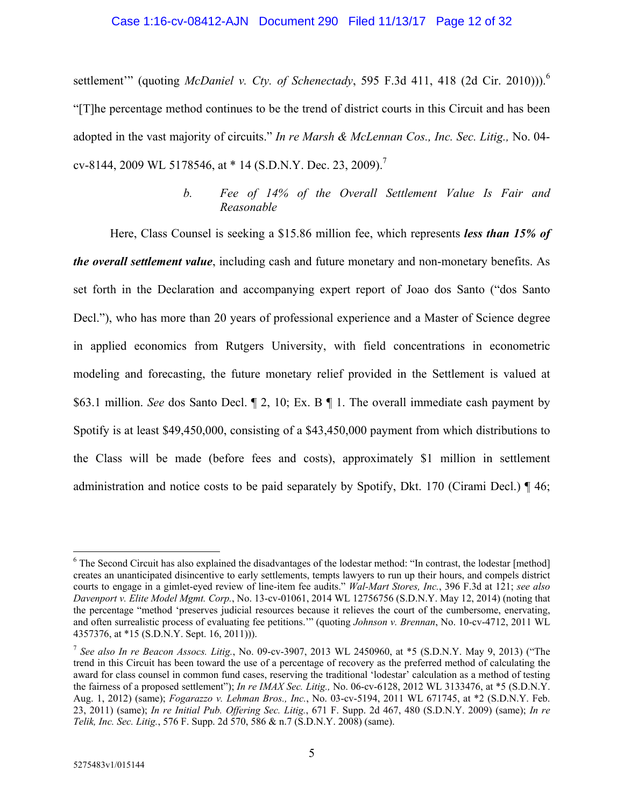#### Case 1:16-cv-08412-AJN Document 290 Filed 11/13/17 Page 12 of 32

settlement" (quoting *McDaniel v. Cty. of Schenectady*, 595 F.3d 411, 418 (2d Cir. 2010))).<sup>6</sup> "[T]he percentage method continues to be the trend of district courts in this Circuit and has been adopted in the vast majority of circuits." *In re Marsh & McLennan Cos., Inc. Sec. Litig.,* No. 04 cv-8144, 2009 WL 5178546, at \* 14 (S.D.N.Y. Dec. 23, 2009).7

## *b. Fee of 14% of the Overall Settlement Value Is Fair and Reasonable*

Here, Class Counsel is seeking a \$15.86 million fee, which represents *less than 15% of the overall settlement value*, including cash and future monetary and non-monetary benefits. As set forth in the Declaration and accompanying expert report of Joao dos Santo ("dos Santo Decl."), who has more than 20 years of professional experience and a Master of Science degree in applied economics from Rutgers University, with field concentrations in econometric modeling and forecasting, the future monetary relief provided in the Settlement is valued at \$63.1 million. *See* dos Santo Decl. ¶ 2, 10; Ex. B ¶ 1. The overall immediate cash payment by Spotify is at least \$49,450,000, consisting of a \$43,450,000 payment from which distributions to the Class will be made (before fees and costs), approximately \$1 million in settlement administration and notice costs to be paid separately by Spotify, Dkt. 170 (Cirami Decl.)  $\P$  46;

<sup>&</sup>lt;sup>6</sup> The Second Circuit has also explained the disadvantages of the lodestar method: "In contrast, the lodestar [method] creates an unanticipated disincentive to early settlements, tempts lawyers to run up their hours, and compels district courts to engage in a gimlet-eyed review of line-item fee audits." *Wal-Mart Stores, Inc.*, 396 F.3d at 121; *see also Davenport v. Elite Model Mgmt. Corp.*, No. 13-cv-01061, 2014 WL 12756756 (S.D.N.Y. May 12, 2014) (noting that the percentage "method 'preserves judicial resources because it relieves the court of the cumbersome, enervating, and often surrealistic process of evaluating fee petitions.'" (quoting *Johnson v. Brennan*, No. 10-cv-4712, 2011 WL 4357376, at \*15 (S.D.N.Y. Sept. 16, 2011))).

<sup>7</sup> *See also In re Beacon Assocs. Litig.*, No. 09-cv-3907, 2013 WL 2450960, at \*5 (S.D.N.Y. May 9, 2013) ("The trend in this Circuit has been toward the use of a percentage of recovery as the preferred method of calculating the award for class counsel in common fund cases, reserving the traditional 'lodestar' calculation as a method of testing the fairness of a proposed settlement"); *In re IMAX Sec. Litig.,* No. 06-cv-6128, 2012 WL 3133476, at \*5 (S.D.N.Y. Aug. 1, 2012) (same); *Fogarazzo v. Lehman Bros., Inc.*, No. 03-cv-5194, 2011 WL 671745, at \*2 (S.D.N.Y. Feb. 23, 2011) (same); *In re Initial Pub. Offering Sec. Litig.*, 671 F. Supp. 2d 467, 480 (S.D.N.Y. 2009) (same); *In re Telik, Inc. Sec. Litig.*, 576 F. Supp. 2d 570, 586 & n.7 (S.D.N.Y. 2008) (same).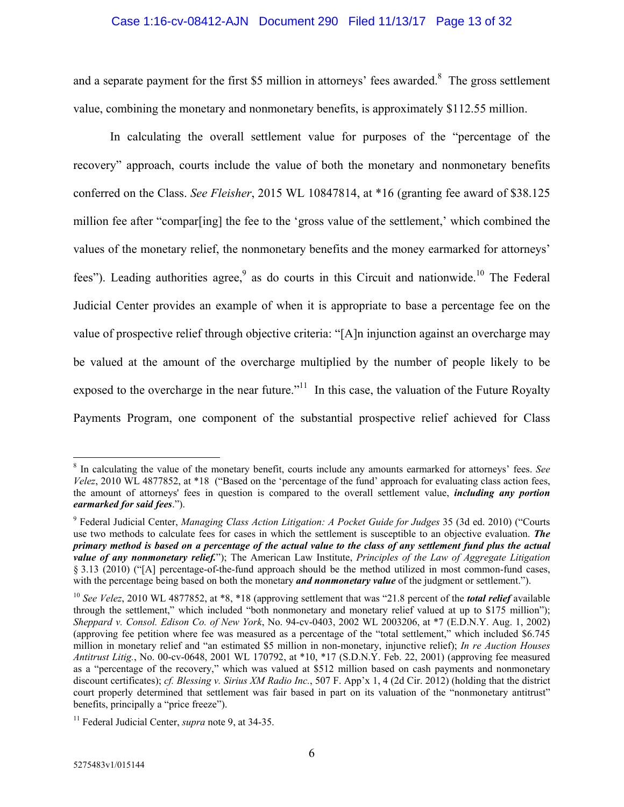#### Case 1:16-cv-08412-AJN Document 290 Filed 11/13/17 Page 13 of 32

and a separate payment for the first \$5 million in attorneys' fees awarded.<sup>8</sup> The gross settlement value, combining the monetary and nonmonetary benefits, is approximately \$112.55 million.

In calculating the overall settlement value for purposes of the "percentage of the recovery" approach, courts include the value of both the monetary and nonmonetary benefits conferred on the Class. *See Fleisher*, 2015 WL 10847814, at \*16 (granting fee award of \$38.125 million fee after "compar[ing] the fee to the 'gross value of the settlement,' which combined the values of the monetary relief, the nonmonetary benefits and the money earmarked for attorneys' fees"). Leading authorities agree,  $9$  as do courts in this Circuit and nationwide.<sup>10</sup> The Federal Judicial Center provides an example of when it is appropriate to base a percentage fee on the value of prospective relief through objective criteria: "[A]n injunction against an overcharge may be valued at the amount of the overcharge multiplied by the number of people likely to be exposed to the overcharge in the near future. $11$  In this case, the valuation of the Future Royalty Payments Program, one component of the substantial prospective relief achieved for Class

<u>.</u>

<sup>8</sup> In calculating the value of the monetary benefit, courts include any amounts earmarked for attorneys' fees. *See Velez*, 2010 WL 4877852, at \*18 ("Based on the 'percentage of the fund' approach for evaluating class action fees, the amount of attorneys' fees in question is compared to the overall settlement value, *including any portion earmarked for said fees*.").

<sup>9</sup> Federal Judicial Center, *Managing Class Action Litigation: A Pocket Guide for Judges* 35 (3d ed. 2010) ("Courts use two methods to calculate fees for cases in which the settlement is susceptible to an objective evaluation. *The primary method is based on a percentage of the actual value to the class of any settlement fund plus the actual value of any nonmonetary relief.*"); The American Law Institute, *Principles of the Law of Aggregate Litigation* § 3.13 (2010) ("[A] percentage-of-the-fund approach should be the method utilized in most common-fund cases, with the percentage being based on both the monetary *and nonmonetary value* of the judgment or settlement.").

<sup>&</sup>lt;sup>10</sup> See Velez, 2010 WL 4877852, at \*8, \*18 (approving settlement that was "21.8 percent of the *total relief* available through the settlement," which included "both nonmonetary and monetary relief valued at up to \$175 million"); *Sheppard v. Consol. Edison Co. of New York*, No. 94-cv-0403, 2002 WL 2003206, at \*7 (E.D.N.Y. Aug. 1, 2002) (approving fee petition where fee was measured as a percentage of the "total settlement," which included \$6.745 million in monetary relief and "an estimated \$5 million in non-monetary, injunctive relief); *In re Auction Houses Antitrust Litig.*, No. 00-cv-0648, 2001 WL 170792, at \*10, \*17 (S.D.N.Y. Feb. 22, 2001) (approving fee measured as a "percentage of the recovery," which was valued at \$512 million based on cash payments and nonmonetary discount certificates); *cf. Blessing v. Sirius XM Radio Inc.*, 507 F. App'x 1, 4 (2d Cir. 2012) (holding that the district court properly determined that settlement was fair based in part on its valuation of the "nonmonetary antitrust" benefits, principally a "price freeze").

<sup>11</sup> Federal Judicial Center, *supra* note 9, at 34-35.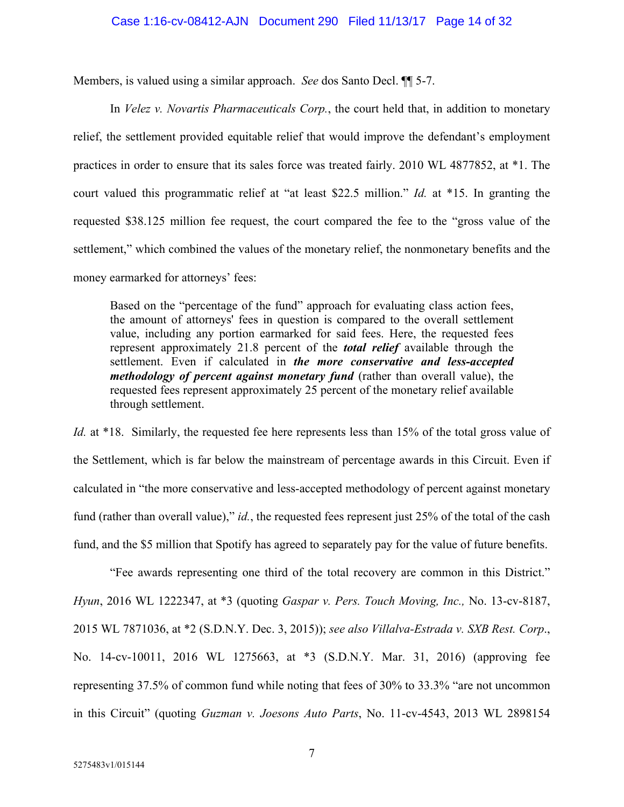Members, is valued using a similar approach. *See* dos Santo Decl. ¶¶ 5-7.

In *Velez v. Novartis Pharmaceuticals Corp.*, the court held that, in addition to monetary relief, the settlement provided equitable relief that would improve the defendant's employment practices in order to ensure that its sales force was treated fairly. 2010 WL 4877852, at \*1. The court valued this programmatic relief at "at least \$22.5 million." *Id.* at \*15. In granting the requested \$38.125 million fee request, the court compared the fee to the "gross value of the settlement," which combined the values of the monetary relief, the nonmonetary benefits and the money earmarked for attorneys' fees:

Based on the "percentage of the fund" approach for evaluating class action fees, the amount of attorneys' fees in question is compared to the overall settlement value, including any portion earmarked for said fees. Here, the requested fees represent approximately 21.8 percent of the *total relief* available through the settlement. Even if calculated in *the more conservative and less-accepted methodology of percent against monetary fund* (rather than overall value), the requested fees represent approximately 25 percent of the monetary relief available through settlement.

*Id.* at \*18. Similarly, the requested fee here represents less than 15% of the total gross value of the Settlement, which is far below the mainstream of percentage awards in this Circuit. Even if calculated in "the more conservative and less-accepted methodology of percent against monetary fund (rather than overall value)," *id.*, the requested fees represent just 25% of the total of the cash fund, and the \$5 million that Spotify has agreed to separately pay for the value of future benefits.

"Fee awards representing one third of the total recovery are common in this District." *Hyun*, 2016 WL 1222347, at \*3 (quoting *Gaspar v. Pers. Touch Moving, Inc.,* No. 13-cv-8187, 2015 WL 7871036, at \*2 (S.D.N.Y. Dec. 3, 2015)); *see also Villalva-Estrada v. SXB Rest. Corp*., No. 14-cv-10011, 2016 WL 1275663, at \*3 (S.D.N.Y. Mar. 31, 2016) (approving fee representing 37.5% of common fund while noting that fees of 30% to 33.3% "are not uncommon in this Circuit" (quoting *Guzman v. Joesons Auto Parts*, No. 11-cv-4543, 2013 WL 2898154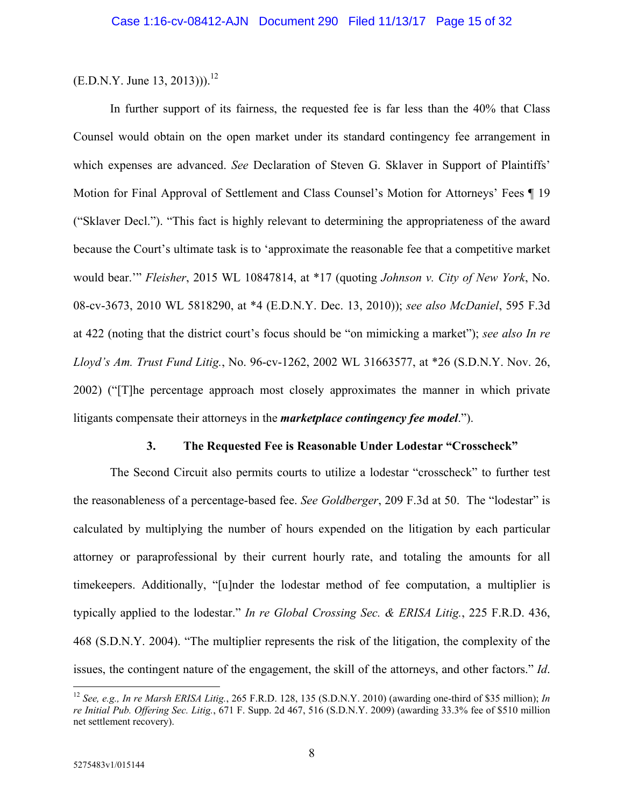$(E.D.N.Y. June 13, 2013))$ .<sup>12</sup>

In further support of its fairness, the requested fee is far less than the 40% that Class Counsel would obtain on the open market under its standard contingency fee arrangement in which expenses are advanced. *See* Declaration of Steven G. Sklaver in Support of Plaintiffs' Motion for Final Approval of Settlement and Class Counsel's Motion for Attorneys' Fees ¶ 19 ("Sklaver Decl."). "This fact is highly relevant to determining the appropriateness of the award because the Court's ultimate task is to 'approximate the reasonable fee that a competitive market would bear.'" *Fleisher*, 2015 WL 10847814, at \*17 (quoting *Johnson v. City of New York*, No. 08-cv-3673, 2010 WL 5818290, at \*4 (E.D.N.Y. Dec. 13, 2010)); *see also McDaniel*, 595 F.3d at 422 (noting that the district court's focus should be "on mimicking a market"); *see also In re Lloyd's Am. Trust Fund Litig.*, No. 96-cv-1262, 2002 WL 31663577, at \*26 (S.D.N.Y. Nov. 26, 2002) ("[T]he percentage approach most closely approximates the manner in which private litigants compensate their attorneys in the *marketplace contingency fee model*.").

## **3. The Requested Fee is Reasonable Under Lodestar "Crosscheck"**

The Second Circuit also permits courts to utilize a lodestar "crosscheck" to further test the reasonableness of a percentage-based fee. *See Goldberger*, 209 F.3d at 50. The "lodestar" is calculated by multiplying the number of hours expended on the litigation by each particular attorney or paraprofessional by their current hourly rate, and totaling the amounts for all timekeepers. Additionally, "[u]nder the lodestar method of fee computation, a multiplier is typically applied to the lodestar." *In re Global Crossing Sec. & ERISA Litig.*, 225 F.R.D. 436, 468 (S.D.N.Y. 2004). "The multiplier represents the risk of the litigation, the complexity of the issues, the contingent nature of the engagement, the skill of the attorneys, and other factors." *Id*.

<sup>12</sup> *See, e.g., In re Marsh ERISA Litig.*, 265 F.R.D. 128, 135 (S.D.N.Y. 2010) (awarding one-third of \$35 million); *In re Initial Pub. Offering Sec. Litig.*, 671 F. Supp. 2d 467, 516 (S.D.N.Y. 2009) (awarding 33.3% fee of \$510 million net settlement recovery).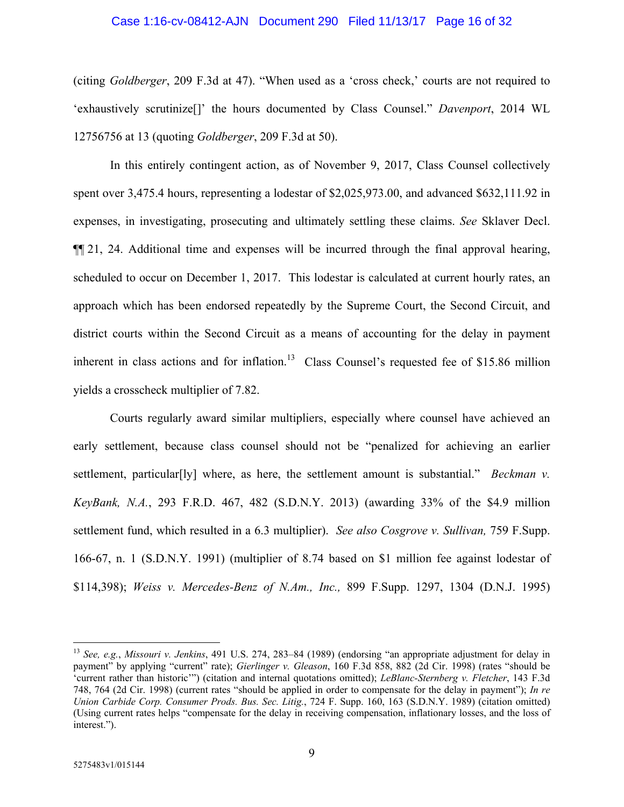#### Case 1:16-cv-08412-AJN Document 290 Filed 11/13/17 Page 16 of 32

(citing *Goldberger*, 209 F.3d at 47). "When used as a 'cross check,' courts are not required to 'exhaustively scrutinize[]' the hours documented by Class Counsel." *Davenport*, 2014 WL 12756756 at 13 (quoting *Goldberger*, 209 F.3d at 50).

In this entirely contingent action, as of November 9, 2017, Class Counsel collectively spent over 3,475.4 hours, representing a lodestar of \$2,025,973.00, and advanced \$632,111.92 in expenses, in investigating, prosecuting and ultimately settling these claims. *See* Sklaver Decl. ¶¶ 21, 24. Additional time and expenses will be incurred through the final approval hearing, scheduled to occur on December 1, 2017. This lodestar is calculated at current hourly rates, an approach which has been endorsed repeatedly by the Supreme Court, the Second Circuit, and district courts within the Second Circuit as a means of accounting for the delay in payment inherent in class actions and for inflation.<sup>13</sup> Class Counsel's requested fee of \$15.86 million yields a crosscheck multiplier of 7.82.

Courts regularly award similar multipliers, especially where counsel have achieved an early settlement, because class counsel should not be "penalized for achieving an earlier settlement, particular<sup>[ly]</sup> where, as here, the settlement amount is substantial." *Beckman v. KeyBank, N.A.*, 293 F.R.D. 467, 482 (S.D.N.Y. 2013) (awarding 33% of the \$4.9 million settlement fund, which resulted in a 6.3 multiplier). *See also Cosgrove v. Sullivan,* 759 F.Supp. 166-67, n. 1 (S.D.N.Y. 1991) (multiplier of 8.74 based on \$1 million fee against lodestar of \$114,398); *Weiss v. Mercedes-Benz of N.Am., Inc.,* 899 F.Supp. 1297, 1304 (D.N.J. 1995)

-

<sup>13</sup> *See, e.g.*, *Missouri v. Jenkins*, 491 U.S. 274, 283–84 (1989) (endorsing "an appropriate adjustment for delay in payment" by applying "current" rate); *Gierlinger v. Gleason*, 160 F.3d 858, 882 (2d Cir. 1998) (rates "should be 'current rather than historic'") (citation and internal quotations omitted); *LeBlanc-Sternberg v. Fletcher*, 143 F.3d 748, 764 (2d Cir. 1998) (current rates "should be applied in order to compensate for the delay in payment"); *In re Union Carbide Corp. Consumer Prods. Bus. Sec. Litig.*, 724 F. Supp. 160, 163 (S.D.N.Y. 1989) (citation omitted) (Using current rates helps "compensate for the delay in receiving compensation, inflationary losses, and the loss of interest.").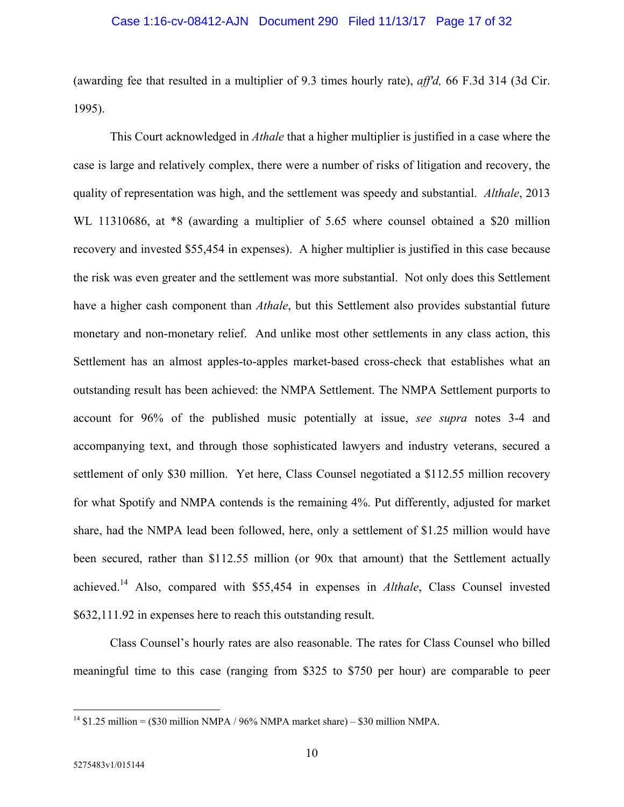#### Case 1:16-cv-08412-AJN Document 290 Filed 11/13/17 Page 17 of 32

(awarding fee that resulted in a multiplier of 9.3 times hourly rate), *aff'd,* 66 F.3d 314 (3d Cir. 1995).

This Court acknowledged in *Athale* that a higher multiplier is justified in a case where the case is large and relatively complex, there were a number of risks of litigation and recovery, the quality of representation was high, and the settlement was speedy and substantial. *Althale*, 2013 WL 11310686, at  $*8$  (awarding a multiplier of 5.65 where counsel obtained a \$20 million recovery and invested \$55,454 in expenses). A higher multiplier is justified in this case because the risk was even greater and the settlement was more substantial. Not only does this Settlement have a higher cash component than *Athale*, but this Settlement also provides substantial future monetary and non-monetary relief. And unlike most other settlements in any class action, this Settlement has an almost apples-to-apples market-based cross-check that establishes what an outstanding result has been achieved: the NMPA Settlement. The NMPA Settlement purports to account for 96% of the published music potentially at issue, *see supra* notes 3-4 and accompanying text, and through those sophisticated lawyers and industry veterans, secured a settlement of only \$30 million. Yet here, Class Counsel negotiated a \$112.55 million recovery for what Spotify and NMPA contends is the remaining 4%. Put differently, adjusted for market share, had the NMPA lead been followed, here, only a settlement of \$1.25 million would have been secured, rather than \$112.55 million (or 90x that amount) that the Settlement actually achieved.14 Also, compared with \$55,454 in expenses in *Althale*, Class Counsel invested \$632,111.92 in expenses here to reach this outstanding result.

Class Counsel's hourly rates are also reasonable. The rates for Class Counsel who billed meaningful time to this case (ranging from \$325 to \$750 per hour) are comparable to peer

-

<sup>&</sup>lt;sup>14</sup> \$1.25 million = (\$30 million NMPA / 96% NMPA market share) – \$30 million NMPA.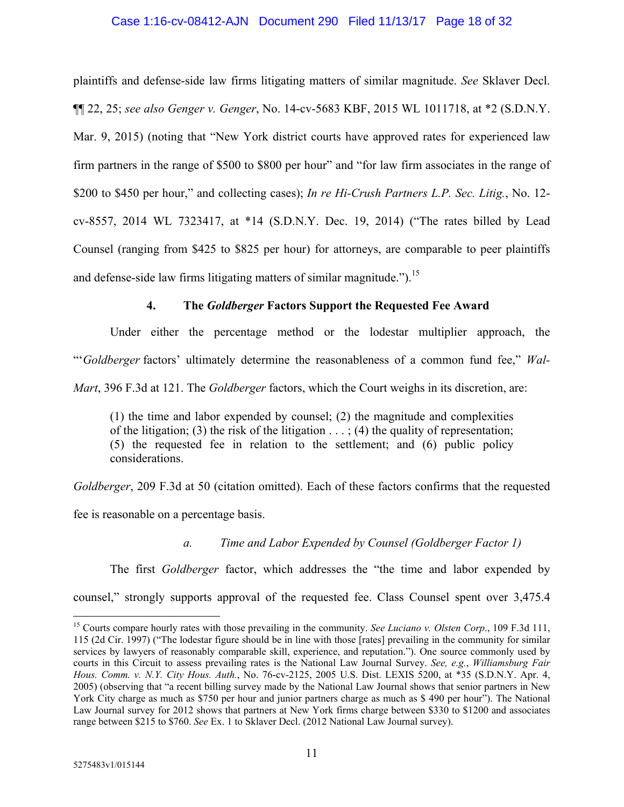### Case 1:16-cv-08412-AJN Document 290 Filed 11/13/17 Page 18 of 32

plaintiffs and defense-side law firms litigating matters of similar magnitude. *See* Sklaver Decl. ¶¶ 22, 25; *see also Genger v. Genger*, No. 14-cv-5683 KBF, 2015 WL 1011718, at \*2 (S.D.N.Y. Mar. 9, 2015) (noting that "New York district courts have approved rates for experienced law firm partners in the range of \$500 to \$800 per hour" and "for law firm associates in the range of \$200 to \$450 per hour," and collecting cases); *In re Hi-Crush Partners L.P. Sec. Litig.*, No. 12 cv-8557, 2014 WL 7323417, at \*14 (S.D.N.Y. Dec. 19, 2014) ("The rates billed by Lead Counsel (ranging from \$425 to \$825 per hour) for attorneys, are comparable to peer plaintiffs and defense-side law firms litigating matters of similar magnitude.").<sup>15</sup>

## **4. The** *Goldberger* **Factors Support the Requested Fee Award**

Under either the percentage method or the lodestar multiplier approach, the "'*Goldberger* factors' ultimately determine the reasonableness of a common fund fee," *Wal-Mart*, 396 F.3d at 121. The *Goldberger* factors, which the Court weighs in its discretion, are:

(1) the time and labor expended by counsel; (2) the magnitude and complexities of the litigation; (3) the risk of the litigation  $\dots$ ; (4) the quality of representation; (5) the requested fee in relation to the settlement; and (6) public policy considerations.

*Goldberger*, 209 F.3d at 50 (citation omitted). Each of these factors confirms that the requested

fee is reasonable on a percentage basis.

*a. Time and Labor Expended by Counsel (Goldberger Factor 1)* 

The first *Goldberger* factor, which addresses the "the time and labor expended by counsel," strongly supports approval of the requested fee. Class Counsel spent over 3,475.4

<sup>15</sup> Courts compare hourly rates with those prevailing in the community. *See Luciano v. Olsten Corp*., 109 F.3d 111, 115 (2d Cir. 1997) ("The lodestar figure should be in line with those [rates] prevailing in the community for similar services by lawyers of reasonably comparable skill, experience, and reputation."). One source commonly used by courts in this Circuit to assess prevailing rates is the National Law Journal Survey. *See, e.g.*, *Williamsburg Fair Hous. Comm. v. N.Y. City Hous. Auth.*, No. 76-cv-2125, 2005 U.S. Dist. LEXIS 5200, at \*35 (S.D.N.Y. Apr. 4, 2005) (observing that "a recent billing survey made by the National Law Journal shows that senior partners in New York City charge as much as \$750 per hour and junior partners charge as much as \$ 490 per hour"). The National Law Journal survey for 2012 shows that partners at New York firms charge between \$330 to \$1200 and associates range between \$215 to \$760. *See* Ex. 1 to Sklaver Decl. (2012 National Law Journal survey).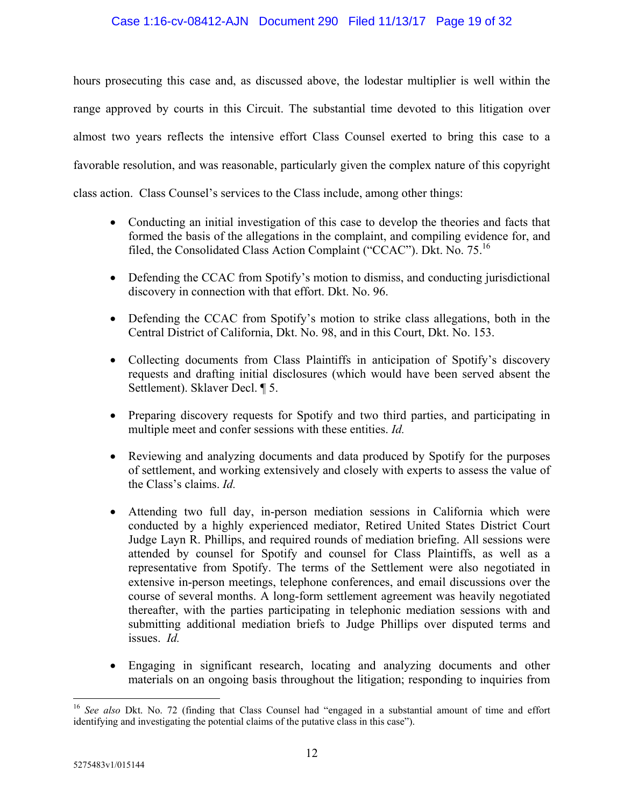hours prosecuting this case and, as discussed above, the lodestar multiplier is well within the range approved by courts in this Circuit. The substantial time devoted to this litigation over almost two years reflects the intensive effort Class Counsel exerted to bring this case to a favorable resolution, and was reasonable, particularly given the complex nature of this copyright class action. Class Counsel's services to the Class include, among other things:

- Conducting an initial investigation of this case to develop the theories and facts that formed the basis of the allegations in the complaint, and compiling evidence for, and filed, the Consolidated Class Action Complaint ("CCAC"). Dkt. No. 75.<sup>16</sup>
- Defending the CCAC from Spotify's motion to dismiss, and conducting jurisdictional discovery in connection with that effort. Dkt. No. 96.
- Defending the CCAC from Spotify's motion to strike class allegations, both in the Central District of California, Dkt. No. 98, and in this Court, Dkt. No. 153.
- Collecting documents from Class Plaintiffs in anticipation of Spotify's discovery requests and drafting initial disclosures (which would have been served absent the Settlement). Sklaver Decl. ¶ 5.
- Preparing discovery requests for Spotify and two third parties, and participating in multiple meet and confer sessions with these entities. *Id.*
- Reviewing and analyzing documents and data produced by Spotify for the purposes of settlement, and working extensively and closely with experts to assess the value of the Class's claims. *Id.*
- Attending two full day, in-person mediation sessions in California which were conducted by a highly experienced mediator, Retired United States District Court Judge Layn R. Phillips, and required rounds of mediation briefing. All sessions were attended by counsel for Spotify and counsel for Class Plaintiffs, as well as a representative from Spotify. The terms of the Settlement were also negotiated in extensive in-person meetings, telephone conferences, and email discussions over the course of several months. A long-form settlement agreement was heavily negotiated thereafter, with the parties participating in telephonic mediation sessions with and submitting additional mediation briefs to Judge Phillips over disputed terms and issues. *Id.*
- Engaging in significant research, locating and analyzing documents and other materials on an ongoing basis throughout the litigation; responding to inquiries from

<sup>16</sup> *See also* Dkt. No. 72 (finding that Class Counsel had "engaged in a substantial amount of time and effort identifying and investigating the potential claims of the putative class in this case").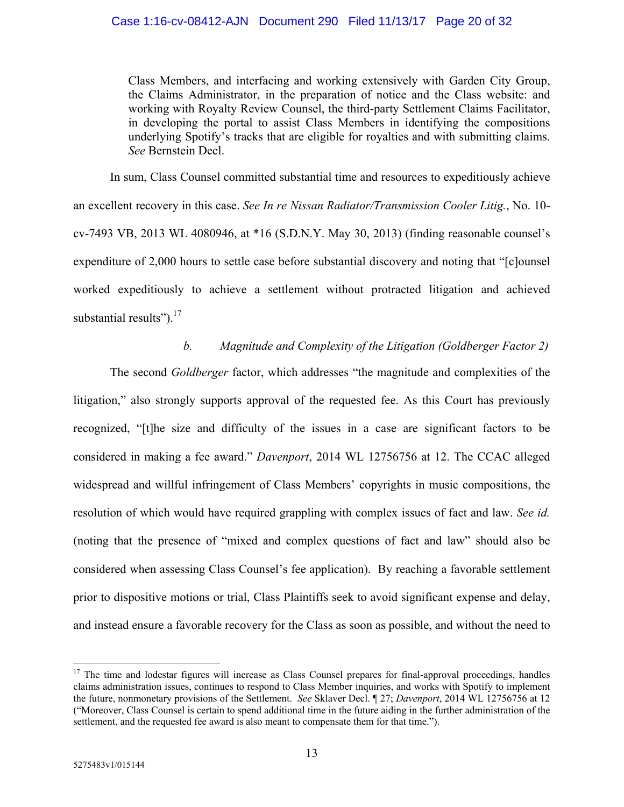Class Members, and interfacing and working extensively with Garden City Group, the Claims Administrator, in the preparation of notice and the Class website: and working with Royalty Review Counsel, the third-party Settlement Claims Facilitator, in developing the portal to assist Class Members in identifying the compositions underlying Spotify's tracks that are eligible for royalties and with submitting claims. *See* Bernstein Decl.

In sum, Class Counsel committed substantial time and resources to expeditiously achieve an excellent recovery in this case. *See In re Nissan Radiator/Transmission Cooler Litig.*, No. 10 cv-7493 VB, 2013 WL 4080946, at \*16 (S.D.N.Y. May 30, 2013) (finding reasonable counsel's expenditure of 2,000 hours to settle case before substantial discovery and noting that "[c]ounsel worked expeditiously to achieve a settlement without protracted litigation and achieved substantial results"). $17$ 

## *b. Magnitude and Complexity of the Litigation (Goldberger Factor 2)*

The second *Goldberger* factor, which addresses "the magnitude and complexities of the litigation," also strongly supports approval of the requested fee. As this Court has previously recognized, "[t]he size and difficulty of the issues in a case are significant factors to be considered in making a fee award." *Davenport*, 2014 WL 12756756 at 12. The CCAC alleged widespread and willful infringement of Class Members' copyrights in music compositions, the resolution of which would have required grappling with complex issues of fact and law. *See id.* (noting that the presence of "mixed and complex questions of fact and law" should also be considered when assessing Class Counsel's fee application). By reaching a favorable settlement prior to dispositive motions or trial, Class Plaintiffs seek to avoid significant expense and delay, and instead ensure a favorable recovery for the Class as soon as possible, and without the need to

<u>.</u>

<sup>&</sup>lt;sup>17</sup> The time and lodestar figures will increase as Class Counsel prepares for final-approval proceedings, handles claims administration issues, continues to respond to Class Member inquiries, and works with Spotify to implement the future, nonmonetary provisions of the Settlement. *See* Sklaver Decl. ¶ 27; *Davenport*, 2014 WL 12756756 at 12 ("Moreover, Class Counsel is certain to spend additional time in the future aiding in the further administration of the settlement, and the requested fee award is also meant to compensate them for that time.").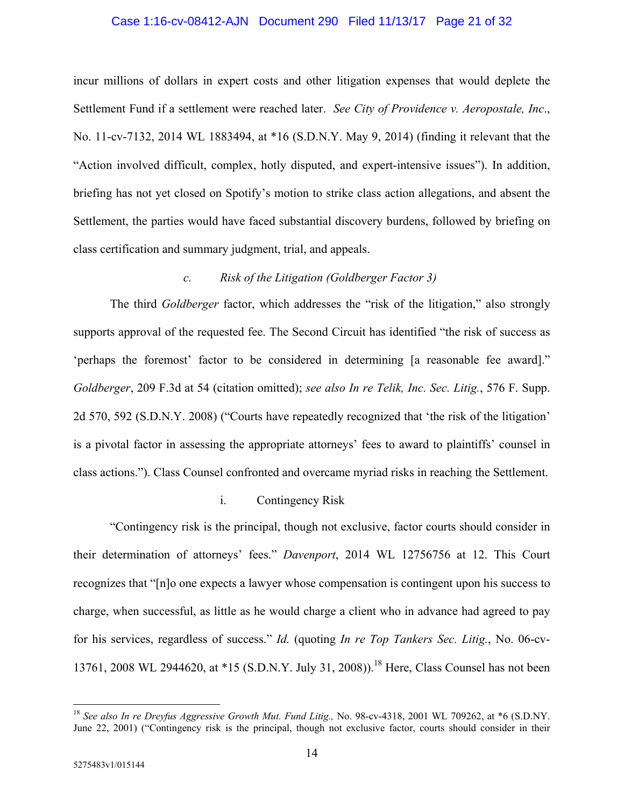#### Case 1:16-cv-08412-AJN Document 290 Filed 11/13/17 Page 21 of 32

incur millions of dollars in expert costs and other litigation expenses that would deplete the Settlement Fund if a settlement were reached later. *See City of Providence v. Aeropostale, Inc*., No. 11-cv-7132, 2014 WL 1883494, at \*16 (S.D.N.Y. May 9, 2014) (finding it relevant that the "Action involved difficult, complex, hotly disputed, and expert-intensive issues"). In addition, briefing has not yet closed on Spotify's motion to strike class action allegations, and absent the Settlement, the parties would have faced substantial discovery burdens, followed by briefing on class certification and summary judgment, trial, and appeals.

## *c. Risk of the Litigation (Goldberger Factor 3)*

The third *Goldberger* factor, which addresses the "risk of the litigation," also strongly supports approval of the requested fee. The Second Circuit has identified "the risk of success as 'perhaps the foremost' factor to be considered in determining [a reasonable fee award]." *Goldberger*, 209 F.3d at 54 (citation omitted); *see also In re Telik, Inc. Sec. Litig.*, 576 F. Supp. 2d 570, 592 (S.D.N.Y. 2008) ("Courts have repeatedly recognized that 'the risk of the litigation' is a pivotal factor in assessing the appropriate attorneys' fees to award to plaintiffs' counsel in class actions."). Class Counsel confronted and overcame myriad risks in reaching the Settlement.

### i. Contingency Risk

"Contingency risk is the principal, though not exclusive, factor courts should consider in their determination of attorneys' fees." *Davenport*, 2014 WL 12756756 at 12. This Court recognizes that "[n]o one expects a lawyer whose compensation is contingent upon his success to charge, when successful, as little as he would charge a client who in advance had agreed to pay for his services, regardless of success." *Id.* (quoting *In re Top Tankers Sec. Litig.*, No. 06-cv-13761, 2008 WL 2944620, at \*15 (S.D.N.Y. July 31, 2008)).<sup>18</sup> Here, Class Counsel has not been

<sup>&</sup>lt;sup>18</sup> See also In re Dreyfus Aggressive Growth Mut. Fund Litig., No. 98-cv-4318, 2001 WL 709262, at \*6 (S.D.NY. June 22, 2001) ("Contingency risk is the principal, though not exclusive factor, courts should consider in their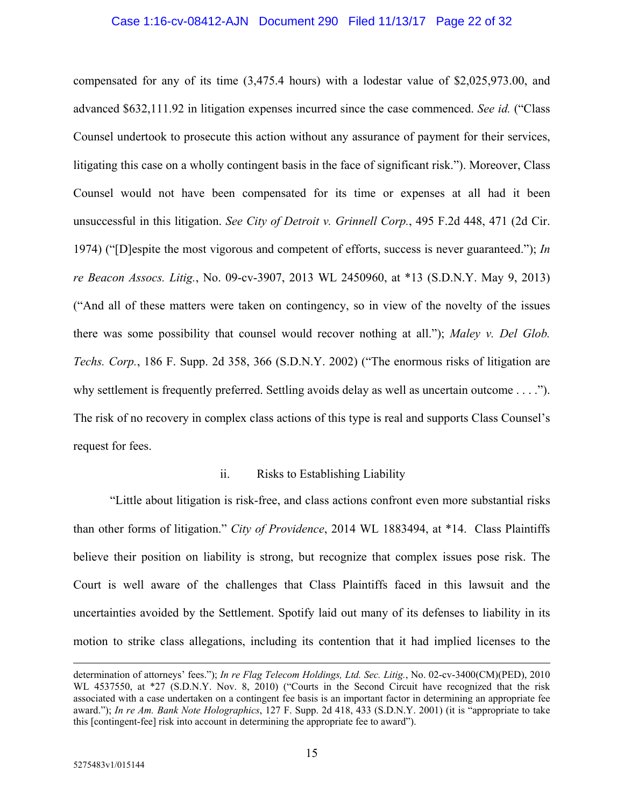## Case 1:16-cv-08412-AJN Document 290 Filed 11/13/17 Page 22 of 32

compensated for any of its time (3,475.4 hours) with a lodestar value of \$2,025,973.00, and advanced \$632,111.92 in litigation expenses incurred since the case commenced. *See id.* ("Class Counsel undertook to prosecute this action without any assurance of payment for their services, litigating this case on a wholly contingent basis in the face of significant risk."). Moreover, Class Counsel would not have been compensated for its time or expenses at all had it been unsuccessful in this litigation. *See City of Detroit v. Grinnell Corp.*, 495 F.2d 448, 471 (2d Cir. 1974) ("[D]espite the most vigorous and competent of efforts, success is never guaranteed."); *In re Beacon Assocs. Litig.*, No. 09-cv-3907, 2013 WL 2450960, at \*13 (S.D.N.Y. May 9, 2013) ("And all of these matters were taken on contingency, so in view of the novelty of the issues there was some possibility that counsel would recover nothing at all."); *Maley v. Del Glob. Techs. Corp.*, 186 F. Supp. 2d 358, 366 (S.D.N.Y. 2002) ("The enormous risks of litigation are why settlement is frequently preferred. Settling avoids delay as well as uncertain outcome . . . ."). The risk of no recovery in complex class actions of this type is real and supports Class Counsel's request for fees.

#### ii. Risks to Establishing Liability

"Little about litigation is risk-free, and class actions confront even more substantial risks than other forms of litigation." *City of Providence*, 2014 WL 1883494, at \*14. Class Plaintiffs believe their position on liability is strong, but recognize that complex issues pose risk. The Court is well aware of the challenges that Class Plaintiffs faced in this lawsuit and the uncertainties avoided by the Settlement. Spotify laid out many of its defenses to liability in its motion to strike class allegations, including its contention that it had implied licenses to the

determination of attorneys' fees."); *In re Flag Telecom Holdings, Ltd. Sec. Litig.*, No. 02-cv-3400(CM)(PED), 2010 WL 4537550, at \*27 (S.D.N.Y. Nov. 8, 2010) ("Courts in the Second Circuit have recognized that the risk associated with a case undertaken on a contingent fee basis is an important factor in determining an appropriate fee award."); *In re Am. Bank Note Holographics*, 127 F. Supp. 2d 418, 433 (S.D.N.Y. 2001) (it is "appropriate to take this [contingent-fee] risk into account in determining the appropriate fee to award").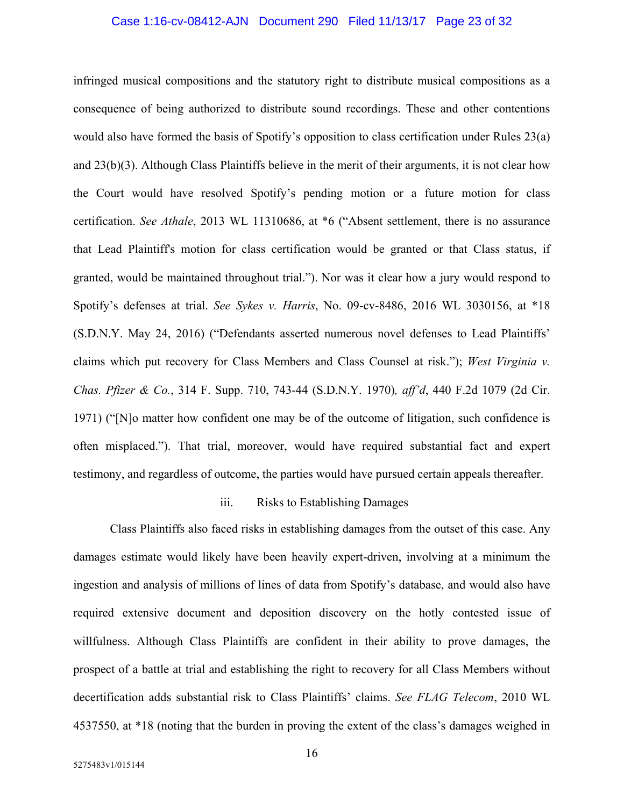#### Case 1:16-cv-08412-AJN Document 290 Filed 11/13/17 Page 23 of 32

infringed musical compositions and the statutory right to distribute musical compositions as a consequence of being authorized to distribute sound recordings. These and other contentions would also have formed the basis of Spotify's opposition to class certification under Rules 23(a) and 23(b)(3). Although Class Plaintiffs believe in the merit of their arguments, it is not clear how the Court would have resolved Spotify's pending motion or a future motion for class certification. *See Athale*, 2013 WL 11310686, at \*6 ("Absent settlement, there is no assurance that Lead Plaintiff's motion for class certification would be granted or that Class status, if granted, would be maintained throughout trial."). Nor was it clear how a jury would respond to Spotify's defenses at trial. *See Sykes v. Harris*, No. 09-cv-8486, 2016 WL 3030156, at \*18 (S.D.N.Y. May 24, 2016) ("Defendants asserted numerous novel defenses to Lead Plaintiffs' claims which put recovery for Class Members and Class Counsel at risk."); *West Virginia v. Chas. Pfizer & Co.*, 314 F. Supp. 710, 743-44 (S.D.N.Y. 1970)*, aff'd*, 440 F.2d 1079 (2d Cir. 1971) ("[N]o matter how confident one may be of the outcome of litigation, such confidence is often misplaced."). That trial, moreover, would have required substantial fact and expert testimony, and regardless of outcome, the parties would have pursued certain appeals thereafter.

#### iii. Risks to Establishing Damages

Class Plaintiffs also faced risks in establishing damages from the outset of this case. Any damages estimate would likely have been heavily expert-driven, involving at a minimum the ingestion and analysis of millions of lines of data from Spotify's database, and would also have required extensive document and deposition discovery on the hotly contested issue of willfulness. Although Class Plaintiffs are confident in their ability to prove damages, the prospect of a battle at trial and establishing the right to recovery for all Class Members without decertification adds substantial risk to Class Plaintiffs' claims. *See FLAG Telecom*, 2010 WL 4537550, at \*18 (noting that the burden in proving the extent of the class's damages weighed in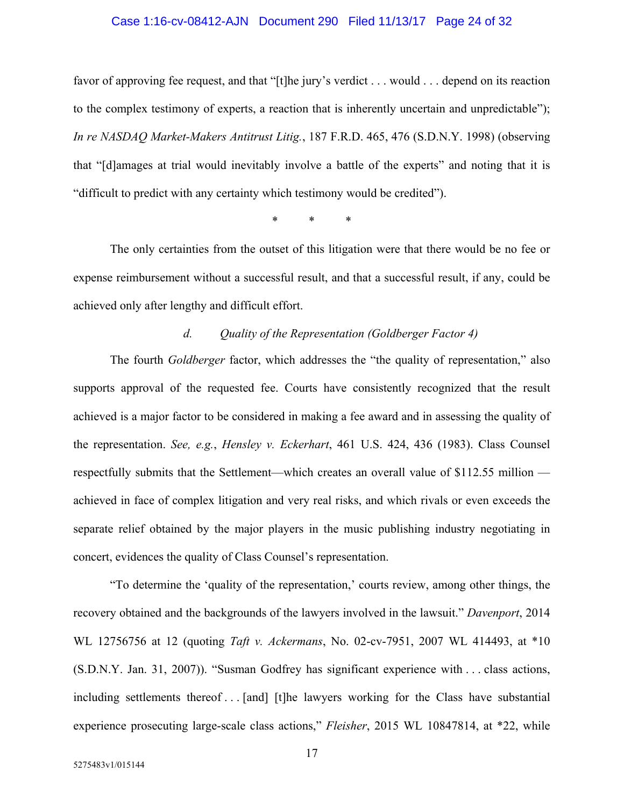#### Case 1:16-cv-08412-AJN Document 290 Filed 11/13/17 Page 24 of 32

favor of approving fee request, and that "[t]he jury's verdict . . . would . . . depend on its reaction to the complex testimony of experts, a reaction that is inherently uncertain and unpredictable"); *In re NASDAQ Market-Makers Antitrust Litig.*, 187 F.R.D. 465, 476 (S.D.N.Y. 1998) (observing that "[d]amages at trial would inevitably involve a battle of the experts" and noting that it is "difficult to predict with any certainty which testimony would be credited").

\* \* \*

The only certainties from the outset of this litigation were that there would be no fee or expense reimbursement without a successful result, and that a successful result, if any, could be achieved only after lengthy and difficult effort.

## *d. Quality of the Representation (Goldberger Factor 4)*

The fourth *Goldberger* factor, which addresses the "the quality of representation," also supports approval of the requested fee. Courts have consistently recognized that the result achieved is a major factor to be considered in making a fee award and in assessing the quality of the representation. *See, e.g.*, *Hensley v. Eckerhart*, 461 U.S. 424, 436 (1983). Class Counsel respectfully submits that the Settlement—which creates an overall value of \$112.55 million achieved in face of complex litigation and very real risks, and which rivals or even exceeds the separate relief obtained by the major players in the music publishing industry negotiating in concert, evidences the quality of Class Counsel's representation.

"To determine the 'quality of the representation,' courts review, among other things, the recovery obtained and the backgrounds of the lawyers involved in the lawsuit." *Davenport*, 2014 WL 12756756 at 12 (quoting *Taft v. Ackermans*, No. 02-cv-7951, 2007 WL 414493, at \*10 (S.D.N.Y. Jan. 31, 2007)). "Susman Godfrey has significant experience with . . . class actions, including settlements thereof . . . [and] [t]he lawyers working for the Class have substantial experience prosecuting large-scale class actions," *Fleisher*, 2015 WL 10847814, at \*22, while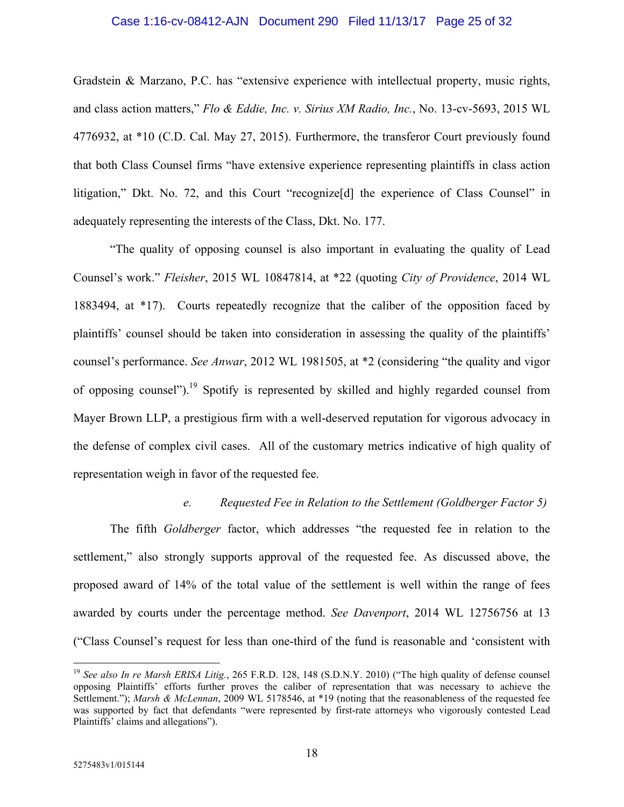## Case 1:16-cv-08412-AJN Document 290 Filed 11/13/17 Page 25 of 32

Gradstein & Marzano, P.C. has "extensive experience with intellectual property, music rights, and class action matters," *Flo & Eddie, Inc. v. Sirius XM Radio, Inc.*, No. 13-cv-5693, 2015 WL 4776932, at \*10 (C.D. Cal. May 27, 2015). Furthermore, the transferor Court previously found that both Class Counsel firms "have extensive experience representing plaintiffs in class action litigation," Dkt. No. 72, and this Court "recognize[d] the experience of Class Counsel" in adequately representing the interests of the Class, Dkt. No. 177.

"The quality of opposing counsel is also important in evaluating the quality of Lead Counsel's work." *Fleisher*, 2015 WL 10847814, at \*22 (quoting *City of Providence*, 2014 WL 1883494, at \*17). Courts repeatedly recognize that the caliber of the opposition faced by plaintiffs' counsel should be taken into consideration in assessing the quality of the plaintiffs' counsel's performance. *See Anwar*, 2012 WL 1981505, at \*2 (considering "the quality and vigor of opposing counsel").<sup>19</sup> Spotify is represented by skilled and highly regarded counsel from Mayer Brown LLP, a prestigious firm with a well-deserved reputation for vigorous advocacy in the defense of complex civil cases. All of the customary metrics indicative of high quality of representation weigh in favor of the requested fee.

#### *e. Requested Fee in Relation to the Settlement (Goldberger Factor 5)*

The fifth *Goldberger* factor, which addresses "the requested fee in relation to the settlement," also strongly supports approval of the requested fee. As discussed above, the proposed award of 14% of the total value of the settlement is well within the range of fees awarded by courts under the percentage method. *See Davenport*, 2014 WL 12756756 at 13 ("Class Counsel's request for less than one-third of the fund is reasonable and 'consistent with

<u>.</u>

<sup>19</sup> *See also In re Marsh ERISA Litig.*, 265 F.R.D. 128, 148 (S.D.N.Y. 2010) ("The high quality of defense counsel opposing Plaintiffs' efforts further proves the caliber of representation that was necessary to achieve the Settlement."); *Marsh & McLennan*, 2009 WL 5178546, at \*19 (noting that the reasonableness of the requested fee was supported by fact that defendants "were represented by first-rate attorneys who vigorously contested Lead Plaintiffs' claims and allegations").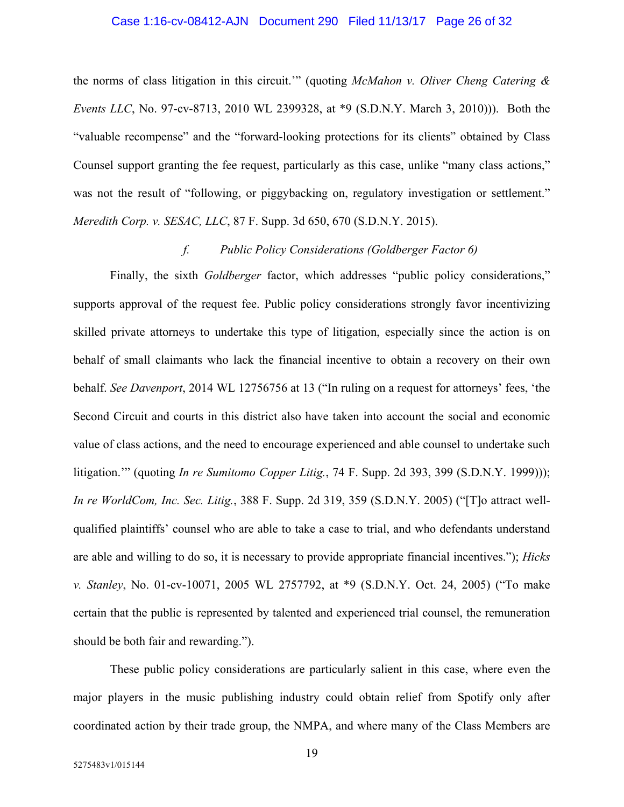#### Case 1:16-cv-08412-AJN Document 290 Filed 11/13/17 Page 26 of 32

the norms of class litigation in this circuit.'" (quoting *McMahon v. Oliver Cheng Catering & Events LLC*, No. 97-cv-8713, 2010 WL 2399328, at \*9 (S.D.N.Y. March 3, 2010))). Both the "valuable recompense" and the "forward-looking protections for its clients" obtained by Class Counsel support granting the fee request, particularly as this case, unlike "many class actions," was not the result of "following, or piggybacking on, regulatory investigation or settlement." *Meredith Corp. v. SESAC, LLC*, 87 F. Supp. 3d 650, 670 (S.D.N.Y. 2015).

## *f. Public Policy Considerations (Goldberger Factor 6)*

Finally, the sixth *Goldberger* factor, which addresses "public policy considerations," supports approval of the request fee. Public policy considerations strongly favor incentivizing skilled private attorneys to undertake this type of litigation, especially since the action is on behalf of small claimants who lack the financial incentive to obtain a recovery on their own behalf. *See Davenport*, 2014 WL 12756756 at 13 ("In ruling on a request for attorneys' fees, 'the Second Circuit and courts in this district also have taken into account the social and economic value of class actions, and the need to encourage experienced and able counsel to undertake such litigation.'" (quoting *In re Sumitomo Copper Litig.*, 74 F. Supp. 2d 393, 399 (S.D.N.Y. 1999))); *In re WorldCom, Inc. Sec. Litig.*, 388 F. Supp. 2d 319, 359 (S.D.N.Y. 2005) ("[T]o attract wellqualified plaintiffs' counsel who are able to take a case to trial, and who defendants understand are able and willing to do so, it is necessary to provide appropriate financial incentives."); *Hicks v. Stanley*, No. 01-cv-10071, 2005 WL 2757792, at \*9 (S.D.N.Y. Oct. 24, 2005) ("To make certain that the public is represented by talented and experienced trial counsel, the remuneration should be both fair and rewarding.").

These public policy considerations are particularly salient in this case, where even the major players in the music publishing industry could obtain relief from Spotify only after coordinated action by their trade group, the NMPA, and where many of the Class Members are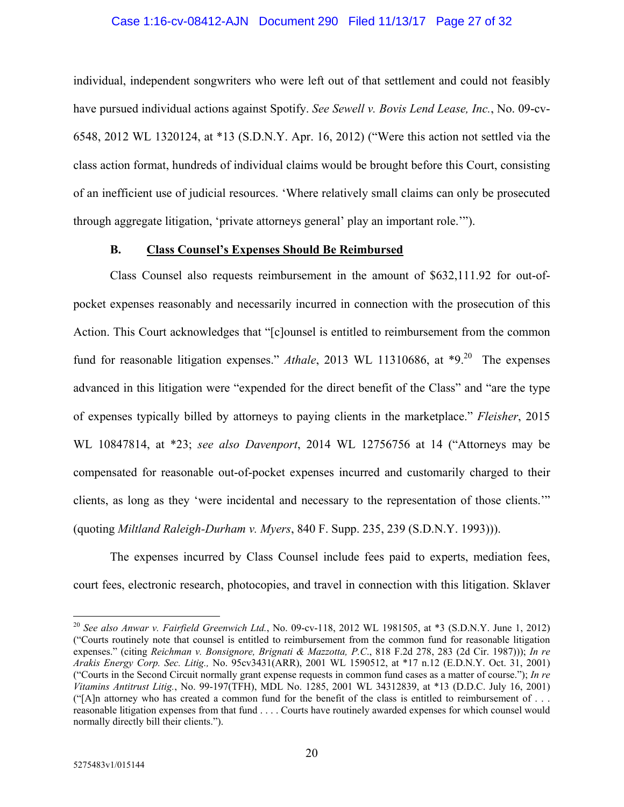## Case 1:16-cv-08412-AJN Document 290 Filed 11/13/17 Page 27 of 32

individual, independent songwriters who were left out of that settlement and could not feasibly have pursued individual actions against Spotify. *See Sewell v. Bovis Lend Lease, Inc.*, No. 09-cv-6548, 2012 WL 1320124, at \*13 (S.D.N.Y. Apr. 16, 2012) ("Were this action not settled via the class action format, hundreds of individual claims would be brought before this Court, consisting of an inefficient use of judicial resources. 'Where relatively small claims can only be prosecuted through aggregate litigation, 'private attorneys general' play an important role.'").

## **B. Class Counsel's Expenses Should Be Reimbursed**

Class Counsel also requests reimbursement in the amount of \$632,111.92 for out-ofpocket expenses reasonably and necessarily incurred in connection with the prosecution of this Action. This Court acknowledges that "[c]ounsel is entitled to reimbursement from the common fund for reasonable litigation expenses." *Athale*, 2013 WL 11310686, at \*9.<sup>20</sup> The expenses advanced in this litigation were "expended for the direct benefit of the Class" and "are the type of expenses typically billed by attorneys to paying clients in the marketplace." *Fleisher*, 2015 WL 10847814, at \*23; *see also Davenport*, 2014 WL 12756756 at 14 ("Attorneys may be compensated for reasonable out-of-pocket expenses incurred and customarily charged to their clients, as long as they 'were incidental and necessary to the representation of those clients.'" (quoting *Miltland Raleigh-Durham v. Myers*, 840 F. Supp. 235, 239 (S.D.N.Y. 1993))).

The expenses incurred by Class Counsel include fees paid to experts, mediation fees, court fees, electronic research, photocopies, and travel in connection with this litigation. Sklaver

<sup>20</sup> *See also Anwar v. Fairfield Greenwich Ltd.*, No. 09-cv-118, 2012 WL 1981505, at \*3 (S.D.N.Y. June 1, 2012) ("Courts routinely note that counsel is entitled to reimbursement from the common fund for reasonable litigation expenses." (citing *Reichman v. Bonsignore, Brignati & Mazzotta, P.C*., 818 F.2d 278, 283 (2d Cir. 1987))); *In re Arakis Energy Corp. Sec. Litig.,* No. 95cv3431(ARR), 2001 WL 1590512, at \*17 n.12 (E.D.N.Y. Oct. 31, 2001) ("Courts in the Second Circuit normally grant expense requests in common fund cases as a matter of course."); *In re Vitamins Antitrust Litig.*, No. 99-197(TFH), MDL No. 1285, 2001 WL 34312839, at \*13 (D.D.C. July 16, 2001) ("[A]n attorney who has created a common fund for the benefit of the class is entitled to reimbursement of  $\dots$ reasonable litigation expenses from that fund . . . . Courts have routinely awarded expenses for which counsel would normally directly bill their clients.").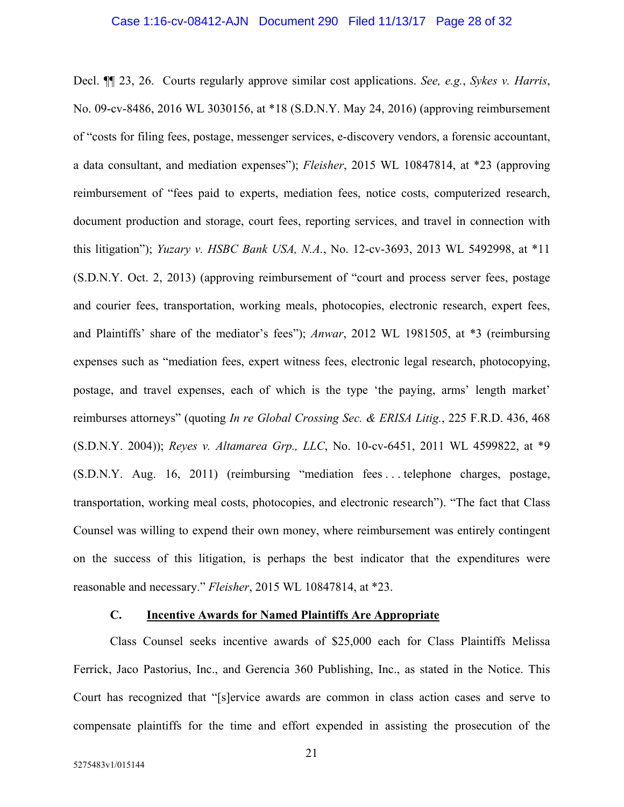#### Case 1:16-cv-08412-AJN Document 290 Filed 11/13/17 Page 28 of 32

Decl. ¶¶ 23, 26. Courts regularly approve similar cost applications. *See, e.g.*, *Sykes v. Harris*, No. 09-cv-8486, 2016 WL 3030156, at \*18 (S.D.N.Y. May 24, 2016) (approving reimbursement of "costs for filing fees, postage, messenger services, e-discovery vendors, a forensic accountant, a data consultant, and mediation expenses"); *Fleisher*, 2015 WL 10847814, at \*23 (approving reimbursement of "fees paid to experts, mediation fees, notice costs, computerized research, document production and storage, court fees, reporting services, and travel in connection with this litigation"); *Yuzary v. HSBC Bank USA, N.A.*, No. 12-cv-3693, 2013 WL 5492998, at \*11 (S.D.N.Y. Oct. 2, 2013) (approving reimbursement of "court and process server fees, postage and courier fees, transportation, working meals, photocopies, electronic research, expert fees, and Plaintiffs' share of the mediator's fees"); *Anwar*, 2012 WL 1981505, at \*3 (reimbursing expenses such as "mediation fees, expert witness fees, electronic legal research, photocopying, postage, and travel expenses, each of which is the type 'the paying, arms' length market' reimburses attorneys" (quoting *In re Global Crossing Sec. & ERISA Litig.*, 225 F.R.D. 436, 468 (S.D.N.Y. 2004)); *Reyes v. Altamarea Grp., LLC*, No. 10-cv-6451, 2011 WL 4599822, at \*9 (S.D.N.Y. Aug. 16, 2011) (reimbursing "mediation fees . . . telephone charges, postage, transportation, working meal costs, photocopies, and electronic research"). "The fact that Class Counsel was willing to expend their own money, where reimbursement was entirely contingent on the success of this litigation, is perhaps the best indicator that the expenditures were reasonable and necessary." *Fleisher*, 2015 WL 10847814, at \*23.

#### **C. Incentive Awards for Named Plaintiffs Are Appropriate**

Class Counsel seeks incentive awards of \$25,000 each for Class Plaintiffs Melissa Ferrick, Jaco Pastorius, Inc., and Gerencia 360 Publishing, Inc., as stated in the Notice. This Court has recognized that "[s]ervice awards are common in class action cases and serve to compensate plaintiffs for the time and effort expended in assisting the prosecution of the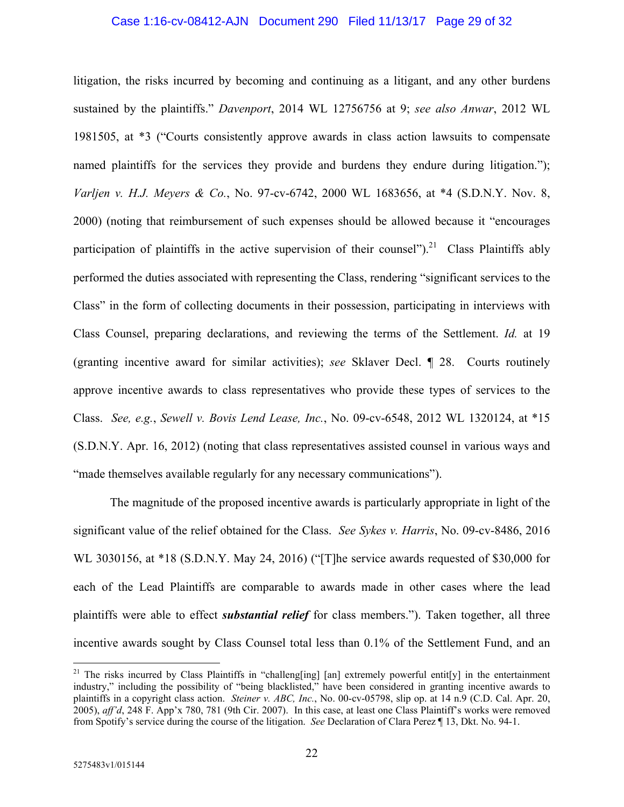## Case 1:16-cv-08412-AJN Document 290 Filed 11/13/17 Page 29 of 32

litigation, the risks incurred by becoming and continuing as a litigant, and any other burdens sustained by the plaintiffs." *Davenport*, 2014 WL 12756756 at 9; *see also Anwar*, 2012 WL 1981505, at \*3 ("Courts consistently approve awards in class action lawsuits to compensate named plaintiffs for the services they provide and burdens they endure during litigation."); *Varljen v. H.J. Meyers & Co.*, No. 97-cv-6742, 2000 WL 1683656, at \*4 (S.D.N.Y. Nov. 8, 2000) (noting that reimbursement of such expenses should be allowed because it "encourages participation of plaintiffs in the active supervision of their counsel").<sup>21</sup> Class Plaintiffs ably performed the duties associated with representing the Class, rendering "significant services to the Class" in the form of collecting documents in their possession, participating in interviews with Class Counsel, preparing declarations, and reviewing the terms of the Settlement. *Id.* at 19 (granting incentive award for similar activities); *see* Sklaver Decl. ¶ 28. Courts routinely approve incentive awards to class representatives who provide these types of services to the Class. *See, e.g.*, *Sewell v. Bovis Lend Lease, Inc.*, No. 09-cv-6548, 2012 WL 1320124, at \*15 (S.D.N.Y. Apr. 16, 2012) (noting that class representatives assisted counsel in various ways and "made themselves available regularly for any necessary communications").

The magnitude of the proposed incentive awards is particularly appropriate in light of the significant value of the relief obtained for the Class. *See Sykes v. Harris*, No. 09-cv-8486, 2016 WL 3030156, at \*18 (S.D.N.Y. May 24, 2016) ("[T]he service awards requested of \$30,000 for each of the Lead Plaintiffs are comparable to awards made in other cases where the lead plaintiffs were able to effect *substantial relief* for class members."). Taken together, all three incentive awards sought by Class Counsel total less than 0.1% of the Settlement Fund, and an

<sup>&</sup>lt;sup>21</sup> The risks incurred by Class Plaintiffs in "challeng[ing] [an] extremely powerful entit[y] in the entertainment industry," including the possibility of "being blacklisted," have been considered in granting incentive awards to plaintiffs in a copyright class action. *Steiner v. ABC, Inc.*, No. 00-cv-05798, slip op. at 14 n.9 (C.D. Cal. Apr. 20, 2005), *aff'd*, 248 F. App'x 780, 781 (9th Cir. 2007). In this case, at least one Class Plaintiff's works were removed from Spotify's service during the course of the litigation. *See* Declaration of Clara Perez ¶ 13, Dkt. No. 94-1.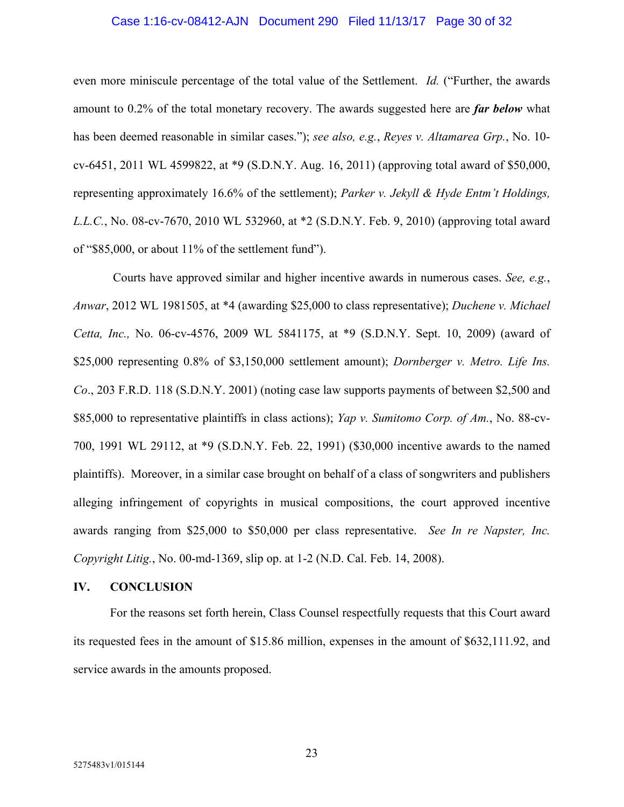#### Case 1:16-cv-08412-AJN Document 290 Filed 11/13/17 Page 30 of 32

even more miniscule percentage of the total value of the Settlement. *Id.* ("Further, the awards amount to 0.2% of the total monetary recovery. The awards suggested here are *far below* what has been deemed reasonable in similar cases."); *see also, e.g.*, *Reyes v. Altamarea Grp.*, No. 10 cv-6451, 2011 WL 4599822, at \*9 (S.D.N.Y. Aug. 16, 2011) (approving total award of \$50,000, representing approximately 16.6% of the settlement); *Parker v. Jekyll & Hyde Entm't Holdings, L.L.C.*, No. 08-cv-7670, 2010 WL 532960, at \*2 (S.D.N.Y. Feb. 9, 2010) (approving total award of "\$85,000, or about 11% of the settlement fund").

 Courts have approved similar and higher incentive awards in numerous cases. *See, e.g.*, *Anwar*, 2012 WL 1981505, at \*4 (awarding \$25,000 to class representative); *Duchene v. Michael Cetta, Inc.,* No. 06-cv-4576, 2009 WL 5841175, at \*9 (S.D.N.Y. Sept. 10, 2009) (award of \$25,000 representing 0.8% of \$3,150,000 settlement amount); *Dornberger v. Metro. Life Ins. Co*., 203 F.R.D. 118 (S.D.N.Y. 2001) (noting case law supports payments of between \$2,500 and \$85,000 to representative plaintiffs in class actions); *Yap v. Sumitomo Corp. of Am.*, No. 88-cv-700, 1991 WL 29112, at \*9 (S.D.N.Y. Feb. 22, 1991) (\$30,000 incentive awards to the named plaintiffs). Moreover, in a similar case brought on behalf of a class of songwriters and publishers alleging infringement of copyrights in musical compositions, the court approved incentive awards ranging from \$25,000 to \$50,000 per class representative. *See In re Napster, Inc. Copyright Litig.*, No. 00-md-1369, slip op. at 1-2 (N.D. Cal. Feb. 14, 2008).

### **IV. CONCLUSION**

For the reasons set forth herein, Class Counsel respectfully requests that this Court award its requested fees in the amount of \$15.86 million, expenses in the amount of \$632,111.92, and service awards in the amounts proposed.

23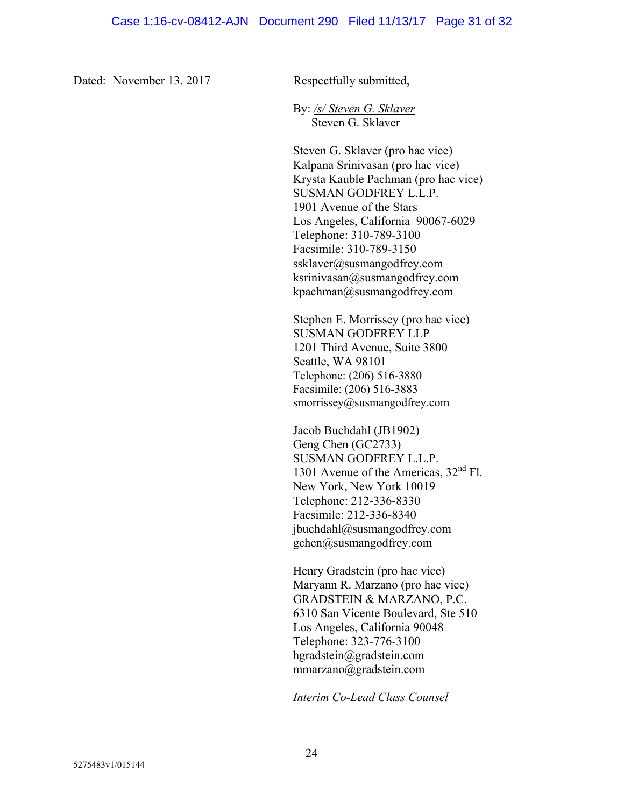Dated: November 13, 2017 Respectfully submitted,

By: */s/ Steven G. Sklaver* Steven G. Sklaver

Steven G. Sklaver (pro hac vice) Kalpana Srinivasan (pro hac vice) Krysta Kauble Pachman (pro hac vice) SUSMAN GODFREY L.L.P. 1901 Avenue of the Stars Los Angeles, California 90067-6029 Telephone: 310-789-3100 Facsimile: 310-789-3150 ssklaver@susmangodfrey.com ksrinivasan@susmangodfrey.com kpachman@susmangodfrey.com

Stephen E. Morrissey (pro hac vice) SUSMAN GODFREY LLP 1201 Third Avenue, Suite 3800 Seattle, WA 98101 Telephone: (206) 516-3880 Facsimile: (206) 516-3883 smorrissey@susmangodfrey.com

Jacob Buchdahl (JB1902) Geng Chen (GC2733) SUSMAN GODFREY L.L.P. 1301 Avenue of the Americas,  $32<sup>nd</sup>$  Fl. New York, New York 10019 Telephone: 212-336-8330 Facsimile: 212-336-8340 jbuchdahl@susmangodfrey.com gchen@susmangodfrey.com

Henry Gradstein (pro hac vice) Maryann R. Marzano (pro hac vice) GRADSTEIN & MARZANO, P.C. 6310 San Vicente Boulevard, Ste 510 Los Angeles, California 90048 Telephone: 323-776-3100 hgradstein@gradstein.com mmarzano@gradstein.com

*Interim Co-Lead Class Counsel*